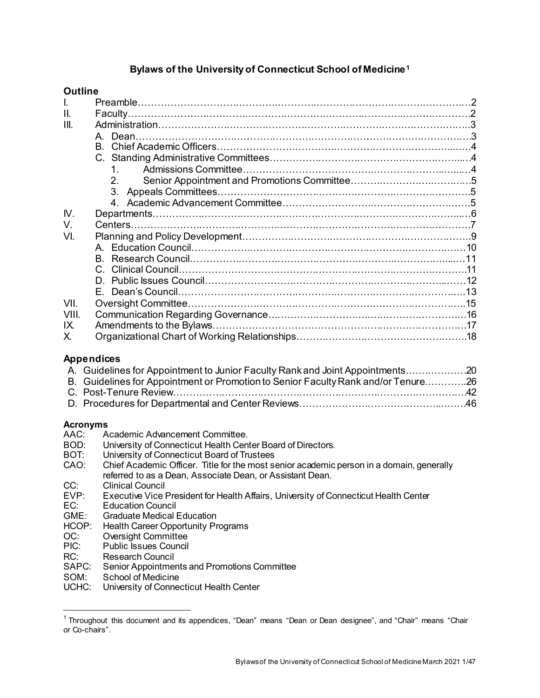# **Bylaws of the University of Connecticut School of Medicine[1](#page-0-0)**

#### **Outline**

| Ш.    |                  |  |
|-------|------------------|--|
| III.  |                  |  |
|       | A. Dean.         |  |
|       |                  |  |
|       |                  |  |
|       | 1 $\blacksquare$ |  |
|       | 2 <sub>1</sub>   |  |
|       |                  |  |
|       |                  |  |
| IV.   |                  |  |
| V.    |                  |  |
| VI.   |                  |  |
|       |                  |  |
|       |                  |  |
|       |                  |  |
|       |                  |  |
|       |                  |  |
| VII.  |                  |  |
| VIII. |                  |  |
| IX.   |                  |  |
| X.    |                  |  |

#### **Appendices**

| A. Guidelines for Appointment to Junior Faculty Rank and Joint Appointments20     |  |
|-----------------------------------------------------------------------------------|--|
| B. Guidelines for Appointment or Promotion to Senior Faculty Rank and/or Tenure26 |  |
|                                                                                   |  |
|                                                                                   |  |

# **Acronyms**

- Academic Advancement Committee.
- BOD: University of Connecticut Health Center Board of Directors.<br>BOT: University of Connecticut Board of Trustees
- BOT: University of Connecticut Board of Trustees<br>CAO: Chief Academic Officer. Title for the most se
- Chief Academic Officer. Title for the most senior academic person in a domain, generally referred to as a Dean, Associate Dean, or Assistant Dean.
- CC: Clinical Council<br>
EVP: Executive Vice I
- EVP: Executive Vice President for Health Affairs, University of Connecticut Health Center
- EC: Education Council<br>
GME: Graduate Medical I Graduate Medical Education
- HCOP: Health Career Opportunity Programs<br>OC: Oversight Committee
- OC: Oversight Committee<br>PIC: Public Issues Council
- Public Issues Council
- RC: Research Council
- SAPC: Senior Appointments and Promotions Committee<br>SOM: School of Medicine
- School of Medicine
- UCHC: University of Connecticut Health Center

<span id="page-0-0"></span><sup>&</sup>lt;sup>1</sup> Throughout this document and its appendices, "Dean" means "Dean or Dean designee", and "Chair" means "Chair or Co-chairs".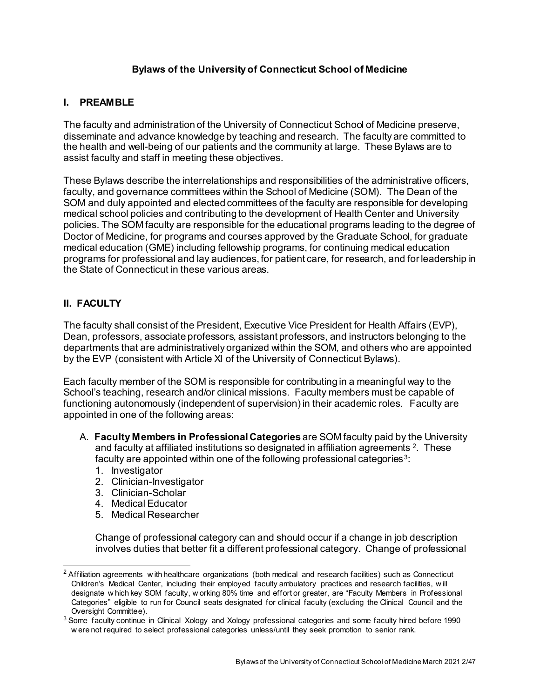# **Bylaws of the University of Connecticut School of Medicine**

# **I. PREAMBLE**

The faculty and administration of the University of Connecticut School of Medicine preserve, disseminate and advance knowledge by teaching and research. The faculty are committed to the health and well-being of our patients and the community at large. These Bylaws are to assist faculty and staff in meeting these objectives.

These Bylaws describe the interrelationships and responsibilities of the administrative officers, faculty, and governance committees within the School of Medicine (SOM). The Dean of the SOM and duly appointed and elected committees of the faculty are responsible for developing medical school policies and contributing to the development of Health Center and University policies. The SOM faculty are responsible for the educational programs leading to the degree of Doctor of Medicine, for programs and courses approved by the Graduate School, for graduate medical education (GME) including fellowship programs, for continuing medical education programs for professional and lay audiences, for patient care, for research, and for leadership in the State of Connecticut in these various areas.

# **II. FACULTY**

The faculty shall consist of the President, Executive Vice President for Health Affairs (EVP), Dean, professors, associate professors, assistant professors, and instructors belonging to the departments that are administratively organized within the SOM, and others who are appointed by the EVP (consistent with Article XI of the University of Connecticut Bylaws).

Each faculty member of the SOM is responsible for contributing in a meaningful way to the School's teaching, research and/or clinical missions. Faculty members must be capable of functioning autonomously (independent of supervision) in their academic roles. Faculty are appointed in one of the following areas:

- A. **Faculty Members in Professional Categories** are SOM faculty paid by the University and faculty at affiliated institutions so designated in affiliation agreements [2](#page-1-0). These faculty are appointed within one of the following professional categories<sup>[3](#page-1-1)</sup>:
	- 1. Investigator
	- 2. Clinician-Investigator
	- 3. Clinician-Scholar
	- 4. Medical Educator
	- 5. Medical Researcher

Change of professional category can and should occur if a change in job description involves duties that better fit a different professional category. Change of professional

<span id="page-1-0"></span> $2$  Affiliation agreements w ith healthcare organizations (both medical and research facilities) such as Connecticut Children's Medical Center, including their employed faculty ambulatory practices and research facilities, w ill designate w hich key SOM faculty, w orking 80% time and effort or greater, are "Faculty Members in Professional Categories" eligible to run for Council seats designated for clinical faculty (excluding the Clinical Council and the Oversight Committee).

<span id="page-1-1"></span><sup>&</sup>lt;sup>3</sup> Some faculty continue in Clinical Xology and Xology professional categories and some faculty hired before 1990 w ere not required to select professional categories unless/until they seek promotion to senior rank.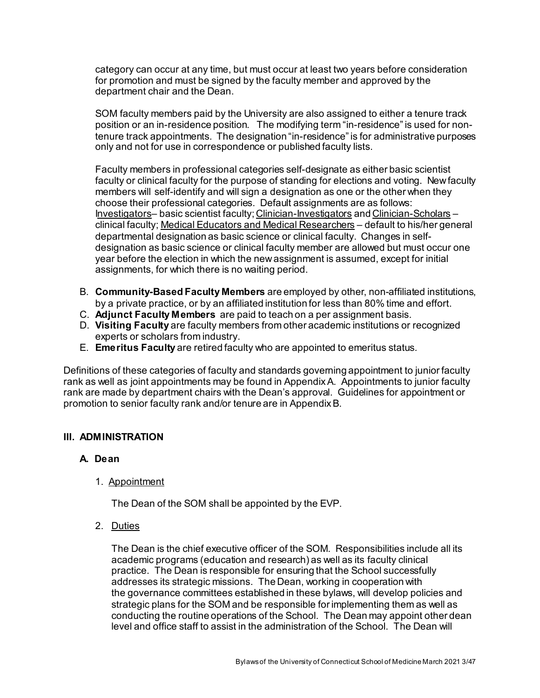category can occur at any time, but must occur at least two years before consideration for promotion and must be signed by the faculty member and approved by the department chair and the Dean.

SOM faculty members paid by the University are also assigned to either a tenure track position or an in-residence position. The modifying term "in-residence" is used for nontenure track appointments. The designation "in-residence" is for administrative purposes only and not for use in correspondence or published faculty lists.

Faculty members in professional categories self-designate as either basic scientist faculty or clinical faculty for the purpose of standing for elections and voting. New faculty members will self-identify and will sign a designation as one or the other when they choose their professional categories. Default assignments are as follows: Investigators– basic scientist faculty; Clinician-Investigators and Clinician-Scholars – clinical faculty; Medical Educators and Medical Researchers – default to his/her general departmental designation as basic science or clinical faculty. Changes in selfdesignation as basic science or clinical faculty member are allowed but must occur one year before the election in which the new assignment is assumed, except for initial assignments, for which there is no waiting period.

- B. **Community-Based Faculty Members** are employed by other, non-affiliated institutions, by a private practice, or by an affiliated institution for less than 80% time and effort.
- C. **Adjunct Faculty Members** are paid to teach on a per assignment basis.
- D. **Visiting Faculty** are faculty members from other academic institutions or recognized experts or scholars from industry.
- E. **Emeritus Faculty** are retired faculty who are appointed to emeritus status.

Definitions of these categories of faculty and standards governing appointment to junior faculty rank as well as joint appointments may be found in Appendix A. Appointments to junior faculty rank are made by department chairs with the Dean's approval. Guidelines for appointment or promotion to senior faculty rank and/or tenure are in Appendix B.

# **III. ADMINISTRATION**

# **A. Dean**

1. Appointment

The Dean of the SOM shall be appointed by the EVP.

2. Duties

The Dean is the chief executive officer of the SOM. Responsibilities include all its academic programs (education and research) as well as its faculty clinical practice. The Dean is responsible for ensuring that the School successfully addresses its strategic missions. The Dean, working in cooperation with the governance committees established in these bylaws, will develop policies and strategic plans for the SOM and be responsible for implementing them as well as conducting the routine operations of the School. The Dean may appoint other dean level and office staff to assist in the administration of the School. The Dean will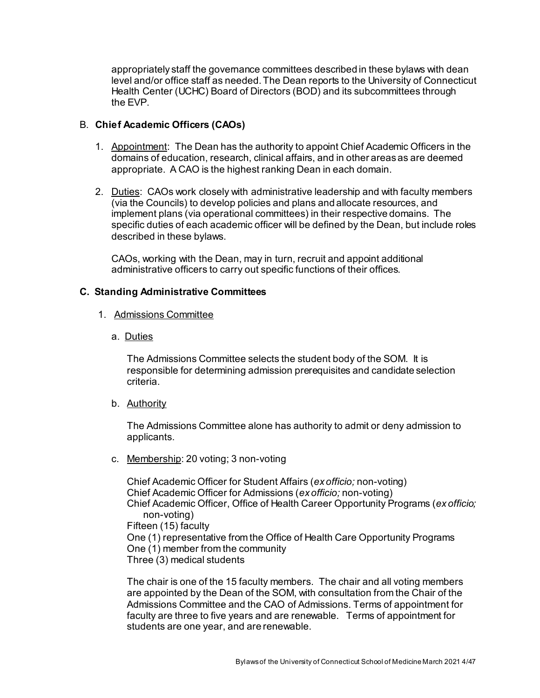appropriately staff the governance committees described in these bylaws with dean level and/or office staff as needed. The Dean reports to the University of Connecticut Health Center (UCHC) Board of Directors (BOD) and its subcommittees through the EVP.

# B. **Chief Academic Officers (CAOs)**

- 1. Appointment: The Dean has the authority to appoint Chief Academic Officers in the domains of education, research, clinical affairs, and in other areas as are deemed appropriate. A CAO is the highest ranking Dean in each domain.
- 2. Duties: CAOs work closely with administrative leadership and with faculty members (via the Councils) to develop policies and plans and allocate resources, and implement plans (via operational committees) in their respective domains. The specific duties of each academic officer will be defined by the Dean, but include roles described in these bylaws.

CAOs, working with the Dean, may in turn, recruit and appoint additional administrative officers to carry out specific functions of their offices.

# **C. Standing Administrative Committees**

- 1. Admissions Committee
	- a. Duties

The Admissions Committee selects the student body of the SOM. It is responsible for determining admission prerequisites and candidate selection criteria.

b. Authority

The Admissions Committee alone has authority to admit or deny admission to applicants.

c. Membership: 20 voting; 3 non-voting

Chief Academic Officer for Student Affairs (*ex officio;* non-voting) Chief Academic Officer for Admissions (*ex officio;* non-voting) Chief Academic Officer, Office of Health Career Opportunity Programs (*ex officio;*  non-voting) Fifteen (15) faculty One (1) representative from the Office of Health Care Opportunity Programs One (1) member from the community Three (3) medical students

The chair is one of the 15 faculty members. The chair and all voting members are appointed by the Dean of the SOM, with consultation from the Chair of the Admissions Committee and the CAO of Admissions. Terms of appointment for faculty are three to five years and are renewable. Terms of appointment for students are one year, and are renewable.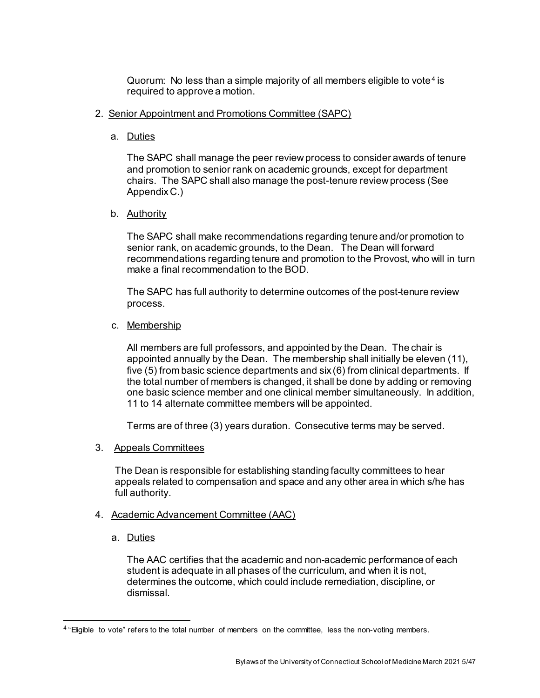Quorum: No less than a simple majority of all members eligible to vote<sup>[4](#page-4-0)</sup> is required to approve a motion.

## 2. Senior Appointment and Promotions Committee (SAPC)

a. Duties

The SAPC shall manage the peer review process to consider awards of tenure and promotion to senior rank on academic grounds, except for department chairs. The SAPC shall also manage the post-tenure review process (See Appendix C.)

b. Authority

The SAPC shall make recommendations regarding tenure and/or promotion to senior rank, on academic grounds, to the Dean. The Dean will forward recommendations regarding tenure and promotion to the Provost, who will in turn make a final recommendation to the BOD.

The SAPC has full authority to determine outcomes of the post-tenure review process.

c. Membership

All members are full professors, and appointed by the Dean. The chair is appointed annually by the Dean. The membership shall initially be eleven (11), five (5) from basic science departments and six (6) from clinical departments. If the total number of members is changed, it shall be done by adding or removing one basic science member and one clinical member simultaneously. In addition, 11 to 14 alternate committee members will be appointed.

Terms are of three (3) years duration. Consecutive terms may be served.

3. Appeals Committees

The Dean is responsible for establishing standing faculty committees to hear appeals related to compensation and space and any other area in which s/he has full authority.

- 4. Academic Advancement Committee (AAC)
	- a. Duties

The AAC certifies that the academic and non-academic performance of each student is adequate in all phases of the curriculum, and when it is not, determines the outcome, which could include remediation, discipline, or dismissal.

<span id="page-4-0"></span><sup>&</sup>lt;sup>4</sup> "Eligible to vote" refers to the total number of members on the committee, less the non-voting members.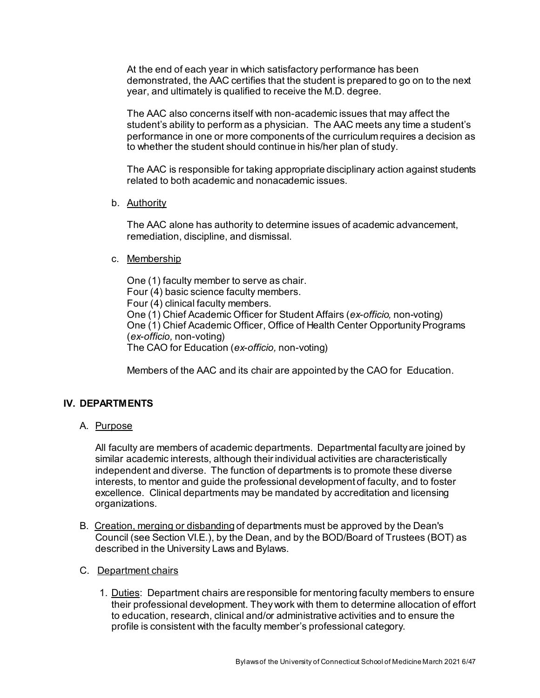At the end of each year in which satisfactory performance has been demonstrated, the AAC certifies that the student is prepared to go on to the next year, and ultimately is qualified to receive the M.D. degree.

The AAC also concerns itself with non-academic issues that may affect the student's ability to perform as a physician. The AAC meets any time a student's performance in one or more components of the curriculum requires a decision as to whether the student should continue in his/her plan of study.

The AAC is responsible for taking appropriate disciplinary action against students related to both academic and nonacademic issues.

b. Authority

The AAC alone has authority to determine issues of academic advancement, remediation, discipline, and dismissal.

#### c. Membership

One (1) faculty member to serve as chair. Four (4) basic science faculty members. Four (4) clinical faculty members. One (1) Chief Academic Officer for Student Affairs (*ex-officio,* non-voting) One (1) Chief Academic Officer, Office of Health Center Opportunity Programs (*ex-officio,* non-voting) The CAO for Education (*ex-officio,* non-voting)

Members of the AAC and its chair are appointed by the CAO for Education.

# **IV. DEPARTMENTS**

A. Purpose

All faculty are members of academic departments. Departmental faculty are joined by similar academic interests, although their individual activities are characteristically independent and diverse. The function of departments is to promote these diverse interests, to mentor and guide the professional development of faculty, and to foster excellence. Clinical departments may be mandated by accreditation and licensing organizations.

- B. Creation, merging or disbanding of departments must be approved by the Dean's Council (see Section VI.E.), by the Dean, and by the BOD/Board of Trustees (BOT) as described in the University Laws and Bylaws.
- C. Department chairs
	- 1. Duties: Department chairs are responsible for mentoring faculty members to ensure their professional development. They work with them to determine allocation of effort to education, research, clinical and/or administrative activities and to ensure the profile is consistent with the faculty member's professional category.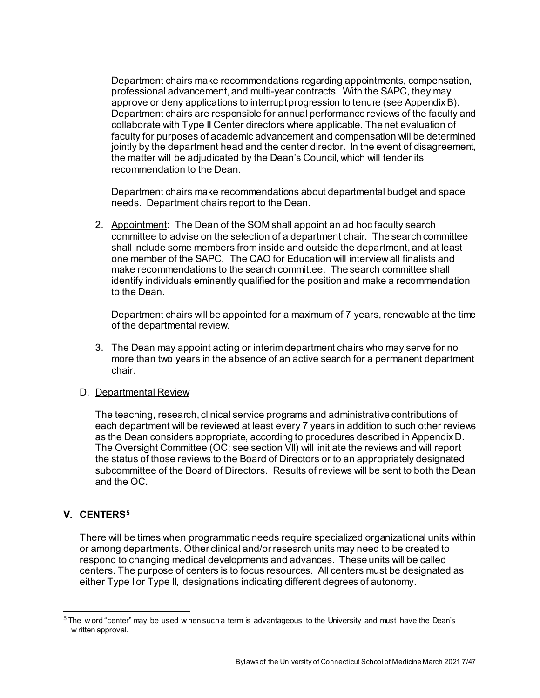Department chairs make recommendations regarding appointments, compensation, professional advancement, and multi-year contracts. With the SAPC, they may approve or deny applications to interrupt progression to tenure (see Appendix B). Department chairs are responsible for annual performance reviews of the faculty and collaborate with Type II Center directors where applicable. The net evaluation of faculty for purposes of academic advancement and compensation will be determined jointly by the department head and the center director. In the event of disagreement, the matter will be adjudicated by the Dean's Council, which will tender its recommendation to the Dean.

Department chairs make recommendations about departmental budget and space needs. Department chairs report to the Dean.

2. Appointment: The Dean of the SOM shall appoint an ad hoc faculty search committee to advise on the selection of a department chair. The search committee shall include some members from inside and outside the department, and at least one member of the SAPC. The CAO for Education will interview all finalists and make recommendations to the search committee. The search committee shall identify individuals eminently qualified for the position and make a recommendation to the Dean.

Department chairs will be appointed for a maximum of 7 years, renewable at the time of the departmental review.

3. The Dean may appoint acting or interim department chairs who may serve for no more than two years in the absence of an active search for a permanent department chair.

#### D. Departmental Review

The teaching, research, clinical service programs and administrative contributions of each department will be reviewed at least every 7 years in addition to such other reviews as the Dean considers appropriate, according to procedures described in Appendix D. The Oversight Committee (OC; see section VII) will initiate the reviews and will report the status of those reviews to the Board of Directors or to an appropriately designated subcommittee of the Board of Directors. Results of reviews will be sent to both the Dean and the OC.

# **V. CENTERS[5](#page-6-0)**

There will be times when programmatic needs require specialized organizational units within or among departments. Other clinical and/or research units may need to be created to respond to changing medical developments and advances. These units will be called centers. The purpose of centers is to focus resources. All centers must be designated as either Type I or Type II, designations indicating different degrees of autonomy.

<span id="page-6-0"></span> $5$  The w ord "center" may be used w hen such a term is advantageous to the University and must have the Dean's w ritten approval.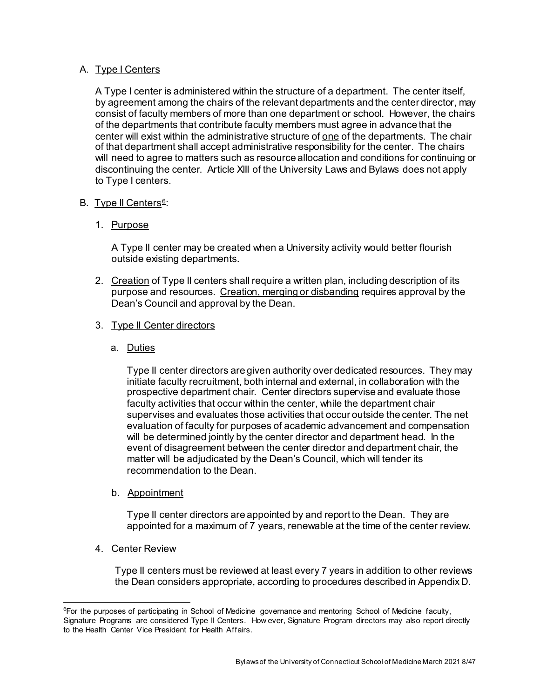# A. Type I Centers

A Type I center is administered within the structure of a department. The center itself, by agreement among the chairs of the relevant departments and the center director, may consist of faculty members of more than one department or school. However, the chairs of the departments that contribute faculty members must agree in advance that the center will exist within the administrative structure of one of the departments. The chair of that department shall accept administrative responsibility for the center. The chairs will need to agree to matters such as resource allocation and conditions for continuing or discontinuing the center. Article XIII of the University Laws and Bylaws does not apply to Type I centers.

# B. Type II Centers<sup>[6](#page-7-0)</sup>:

# 1. Purpose

A Type II center may be created when a University activity would better flourish outside existing departments.

2. Creation of Type II centers shall require a written plan, including description of its purpose and resources. Creation, merging or disbanding requires approval by the Dean's Council and approval by the Dean.

# 3. Type II Center directors

a. Duties

Type II center directors are given authority over dedicated resources. They may initiate faculty recruitment, both internal and external, in collaboration with the prospective department chair. Center directors supervise and evaluate those faculty activities that occur within the center, while the department chair supervises and evaluates those activities that occur outside the center. The net evaluation of faculty for purposes of academic advancement and compensation will be determined jointly by the center director and department head. In the event of disagreement between the center director and department chair, the matter will be adjudicated by the Dean's Council, which will tender its recommendation to the Dean.

b. Appointment

Type II center directors are appointed by and report to the Dean. They are appointed for a maximum of 7 years, renewable at the time of the center review.

4. Center Review

Type II centers must be reviewed at least every 7 years in addition to other reviews the Dean considers appropriate, according to procedures described in Appendix D.

<span id="page-7-0"></span> <sup>6</sup> <sup>6</sup>For the purposes of participating in School of Medicine governance and mentoring School of Medicine faculty, Signature Programs are considered Type II Centers. How ever, Signature Program directors may also report directly to the Health Center Vice President for Health Affairs.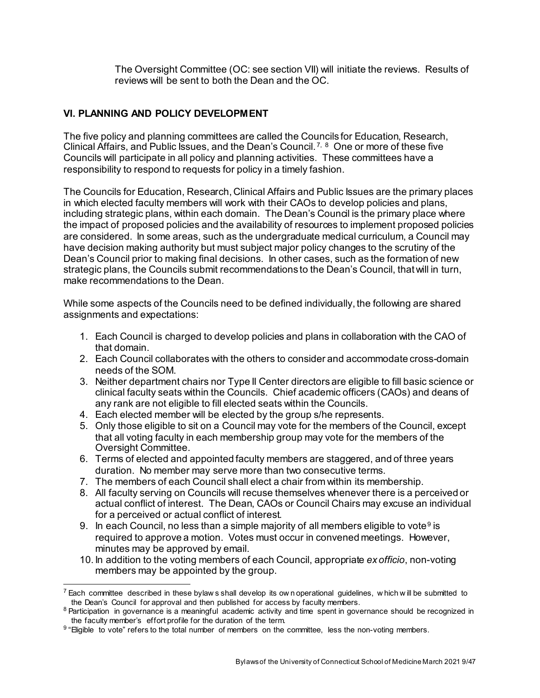The Oversight Committee (OC: see section VII) will initiate the reviews. Results of reviews will be sent to both the Dean and the OC.

# **VI. PLANNING AND POLICY DEVELOPMENT**

The five policy and planning committees are called the Councils for Education, Research, Clinical Affairs, and Public Issues, and the Dean's Council. [7](#page-8-0), [8](#page-8-1) One or more of these five Councils will participate in all policy and planning activities. These committees have a responsibility to respond to requests for policy in a timely fashion.

The Councils for Education, Research, Clinical Affairs and Public Issues are the primary places in which elected faculty members will work with their CAOs to develop policies and plans, including strategic plans, within each domain. The Dean's Council is the primary place where the impact of proposed policies and the availability of resources to implement proposed policies are considered. In some areas, such as the undergraduate medical curriculum, a Council may have decision making authority but must subject major policy changes to the scrutiny of the Dean's Council prior to making final decisions. In other cases, such as the formation of new strategic plans, the Councils submit recommendations to the Dean's Council, that will in turn, make recommendations to the Dean.

While some aspects of the Councils need to be defined individually, the following are shared assignments and expectations:

- 1. Each Council is charged to develop policies and plans in collaboration with the CAO of that domain.
- 2. Each Council collaborates with the others to consider and accommodate cross-domain needs of the SOM.
- 3. Neither department chairs nor Type II Center directors are eligible to fill basic science or clinical faculty seats within the Councils. Chief academic officers (CAOs) and deans of any rank are not eligible to fill elected seats within the Councils.
- 4. Each elected member will be elected by the group s/he represents.
- 5. Only those eligible to sit on a Council may vote for the members of the Council, except that all voting faculty in each membership group may vote for the members of the Oversight Committee.
- 6. Terms of elected and appointed faculty members are staggered, and of three years duration. No member may serve more than two consecutive terms.
- 7. The members of each Council shall elect a chair from within its membership.
- 8. All faculty serving on Councils will recuse themselves whenever there is a perceived or actual conflict of interest. The Dean, CAOs or Council Chairs may excuse an individual for a perceived or actual conflict of interest.
- [9](#page-8-2). In each Council, no less than a simple majority of all members eligible to vote<sup>9</sup> is required to approve a motion. Votes must occur in convened meetings. However, minutes may be approved by email.
- 10. In addition to the voting members of each Council, appropriate *ex officio*, non-voting members may be appointed by the group.

<span id="page-8-0"></span> $^7$  Each committee described in these bylaw s shall develop its ow n operational quidelines, w hich w ill be submitted to the Dean's Council for approval and then published for access by faculty members.

<span id="page-8-1"></span><sup>&</sup>lt;sup>8</sup> Participation in governance is a meaningful academic activity and time spent in governance should be recognized in the faculty member's effort profile for the duration of the term.

<span id="page-8-2"></span><sup>&</sup>lt;sup>9</sup> "Eligible to vote" refers to the total number of members on the committee, less the non-voting members.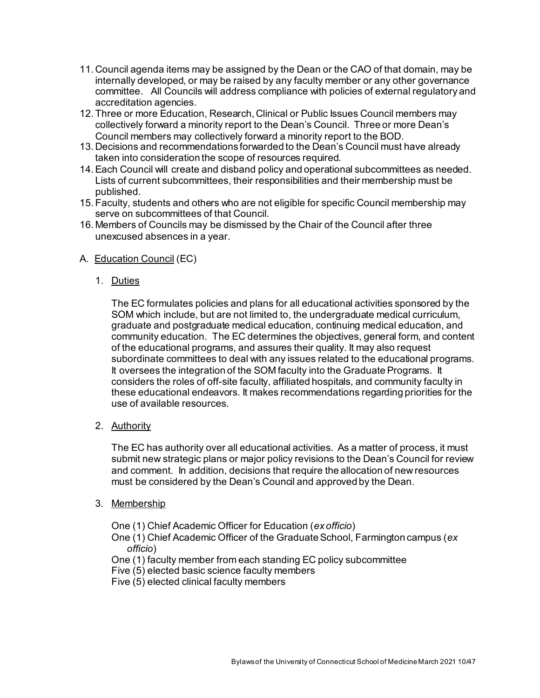- 11. Council agenda items may be assigned by the Dean or the CAO of that domain, may be internally developed, or may be raised by any faculty member or any other governance committee. All Councils will address compliance with policies of external regulatory and accreditation agencies.
- 12.Three or more Education, Research, Clinical or Public Issues Council members may collectively forward a minority report to the Dean's Council. Three or more Dean's Council members may collectively forward a minority report to the BOD.
- 13. Decisions and recommendations forwarded to the Dean's Council must have already taken into consideration the scope of resources required.
- 14.Each Council will create and disband policy and operational subcommittees as needed. Lists of current subcommittees, their responsibilities and their membership must be published.
- 15.Faculty, students and others who are not eligible for specific Council membership may serve on subcommittees of that Council.
- 16. Members of Councils may be dismissed by the Chair of the Council after three unexcused absences in a year.

# A. Education Council (EC)

1. Duties

The EC formulates policies and plans for all educational activities sponsored by the SOM which include, but are not limited to, the undergraduate medical curriculum, graduate and postgraduate medical education, continuing medical education, and community education. The EC determines the objectives, general form, and content of the educational programs, and assures their quality. It may also request subordinate committees to deal with any issues related to the educational programs. It oversees the integration of the SOM faculty into the Graduate Programs. It considers the roles of off-site faculty, affiliated hospitals, and community faculty in these educational endeavors. It makes recommendations regarding priorities for the use of available resources.

2. Authority

The EC has authority over all educational activities. As a matter of process, it must submit new strategic plans or major policy revisions to the Dean's Council for review and comment. In addition, decisions that require the allocation of new resources must be considered by the Dean's Council and approved by the Dean.

3. Membership

One (1) Chief Academic Officer for Education (*ex officio*)

One (1) Chief Academic Officer of the Graduate School, Farmington campus (*ex officio*)

- One (1) faculty member from each standing EC policy subcommittee
- Five (5) elected basic science faculty members
- Five (5) elected clinical faculty members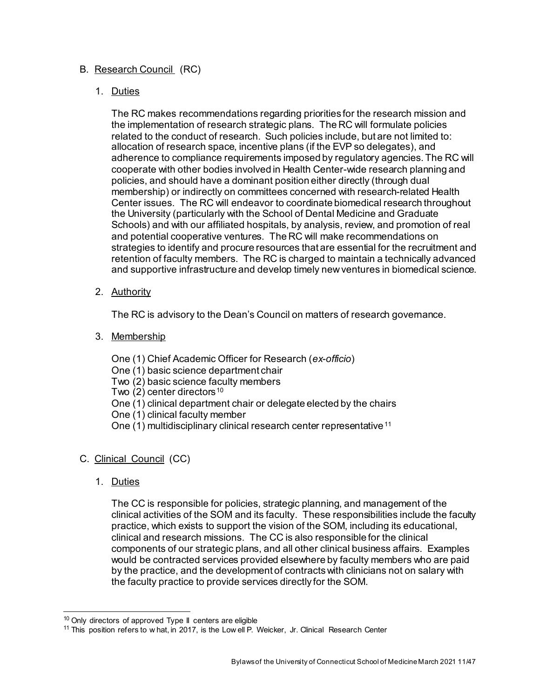# B. Research Council (RC)

# 1. Duties

The RC makes recommendations regarding priorities for the research mission and the implementation of research strategic plans. The RC will formulate policies related to the conduct of research. Such policies include, but are not limited to: allocation of research space, incentive plans (if the EVP so delegates), and adherence to compliance requirements imposed by regulatory agencies. The RC will cooperate with other bodies involved in Health Center-wide research planning and policies, and should have a dominant position either directly (through dual membership) or indirectly on committees concerned with research-related Health Center issues. The RC will endeavor to coordinate biomedical research throughout the University (particularly with the School of Dental Medicine and Graduate Schools) and with our affiliated hospitals, by analysis, review, and promotion of real and potential cooperative ventures. The RC will make recommendations on strategies to identify and procure resources that are essential for the recruitment and retention of faculty members. The RC is charged to maintain a technically advanced and supportive infrastructure and develop timely new ventures in biomedical science.

2. Authority

The RC is advisory to the Dean's Council on matters of research governance.

3. Membership

One (1) Chief Academic Officer for Research (*ex-officio*)

- One (1) basic science department chair
- Two (2) basic science faculty members

Two  $(2)$  center directors<sup>[10](#page-10-0)</sup>

- One (1) clinical department chair or delegate elected by the chairs
- One (1) clinical faculty member
- One (1) multidisciplinary clinical research center representative<sup>[11](#page-10-1)</sup>

# C. Clinical Council (CC)

1. Duties

The CC is responsible for policies, strategic planning, and management of the clinical activities of the SOM and its faculty. These responsibilities include the faculty practice, which exists to support the vision of the SOM, including its educational, clinical and research missions. The CC is also responsible for the clinical components of our strategic plans, and all other clinical business affairs. Examples would be contracted services provided elsewhere by faculty members who are paid by the practice, and the development of contracts with clinicians not on salary with the faculty practice to provide services directly for the SOM.

<span id="page-10-0"></span> $10$  Only directors of approved Type II centers are eligible

<span id="page-10-1"></span><sup>&</sup>lt;sup>11</sup> This position refers to w hat, in 2017, is the Low ell P. Weicker, Jr. Clinical Research Center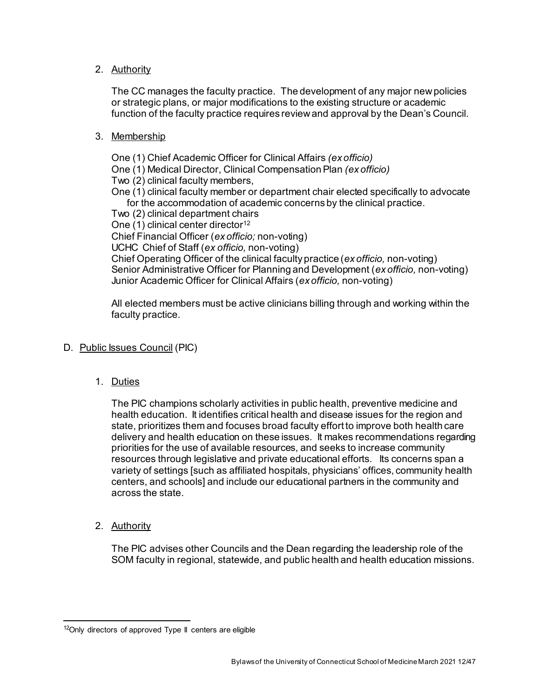# 2. Authority

The CC manages the faculty practice. The development of any major new policies or strategic plans, or major modifications to the existing structure or academic function of the faculty practice requires review and approval by the Dean's Council.

# 3. Membership

One (1) Chief Academic Officer for Clinical Affairs *(ex officio)* One (1) Medical Director, Clinical Compensation Plan *(ex officio)* Two (2) clinical faculty members, One (1) clinical faculty member or department chair elected specifically to advocate for the accommodation of academic concerns by the clinical practice. Two (2) clinical department chairs One  $(1)$  clinical center director<sup>[12](#page-11-0)</sup> Chief Financial Officer (*ex officio;* non-voting) UCHC Chief of Staff (*ex officio,* non-voting) Chief Operating Officer of the clinical faculty practice (*ex officio,* non-voting) Senior Administrative Officer for Planning and Development (*ex officio,* non-voting) Junior Academic Officer for Clinical Affairs (*ex officio,* non-voting)

All elected members must be active clinicians billing through and working within the faculty practice.

# D. Public Issues Council (PIC)

1. Duties

The PIC champions scholarly activities in public health, preventive medicine and health education. It identifies critical health and disease issues for the region and state, prioritizes them and focuses broad faculty effort to improve both health care delivery and health education on these issues. It makes recommendations regarding priorities for the use of available resources, and seeks to increase community resources through legislative and private educational efforts. Its concerns span a variety of settings [such as affiliated hospitals, physicians' offices, community health centers, and schools] and include our educational partners in the community and across the state.

2. Authority

The PIC advises other Councils and the Dean regarding the leadership role of the SOM faculty in regional, statewide, and public health and health education missions.

<span id="page-11-0"></span><sup>&</sup>lt;sup>12</sup>Only directors of approved Type II centers are eligible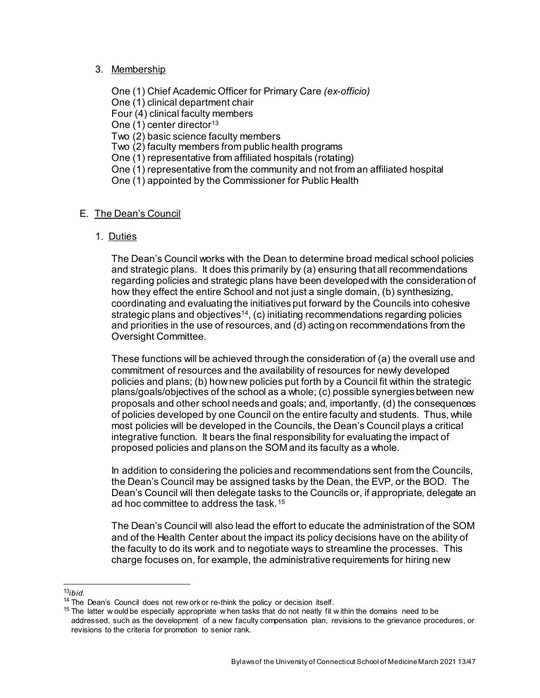## 3. Membership

One (1) Chief Academic Officer for Primary Care *(ex-officio)* One (1) clinical department chair Four (4) clinical faculty members One  $(1)$  center director<sup>[13](#page-12-0)</sup> Two (2) basic science faculty members Two (2) faculty members from public health programs One (1) representative from affiliated hospitals (rotating) One (1) representative from the community and not from an affiliated hospital One (1) appointed by the Commissioner for Public Health

# E. The Dean's Council

# 1. Duties

The Dean's Council works with the Dean to determine broad medical school policies and strategic plans. It does this primarily by (a) ensuring that all recommendations regarding policies and strategic plans have been developed with the consideration of how they effect the entire School and not just a single domain, (b) synthesizing, coordinating and evaluating the initiatives put forward by the Councils into cohesive strategic plans and objectives<sup>14</sup>, (c) initiating recommendations regarding policies and priorities in the use of resources, and (d) acting on recommendations from the Oversight Committee.

These functions will be achieved through the consideration of (a) the overall use and commitment of resources and the availability of resources for newly developed policies and plans; (b) how new policies put forth by a Council fit within the strategic plans/goals/objectives of the school as a whole; (c) possible synergies between new proposals and other school needs and goals; and, importantly, (d) the consequences of policies developed by one Council on the entire faculty and students. Thus, while most policies will be developed in the Councils, the Dean's Council plays a critical integrative function. It bears the final responsibility for evaluating the impact of proposed policies and plans on the SOM and its faculty as a whole.

In addition to considering the policies and recommendations sent from the Councils, the Dean's Council may be assigned tasks by the Dean, the EVP, or the BOD. The Dean's Council will then delegate tasks to the Councils or, if appropriate, delegate an ad hoc committee to address the task.[15](#page-12-2)

The Dean's Council will also lead the effort to educate the administration of the SOM and of the Health Center about the impact its policy decisions have on the ability of the faculty to do its work and to negotiate ways to streamline the processes. This charge focuses on, for example, the administrative requirements for hiring new

 <sup>13</sup>*ibid.*

<span id="page-12-1"></span><span id="page-12-0"></span><sup>&</sup>lt;sup>14</sup> The Dean's Council does not rew ork or re-think the policy or decision itself.

<span id="page-12-2"></span> $15$  The latter w ould be especially appropriate w hen tasks that do not neatly fit within the domains need to be addressed, such as the development of a new faculty compensation plan, revisions to the grievance procedures, or revisions to the criteria for promotion to senior rank.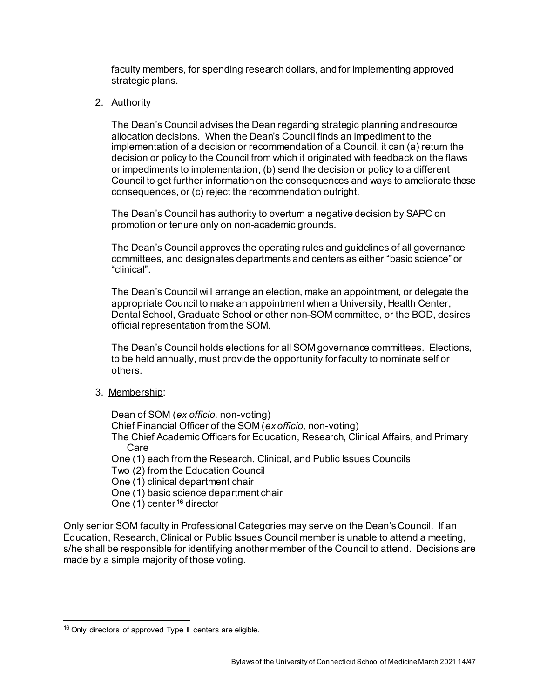faculty members, for spending research dollars, and for implementing approved strategic plans.

2. Authority

The Dean's Council advises the Dean regarding strategic planning and resource allocation decisions. When the Dean's Council finds an impediment to the implementation of a decision or recommendation of a Council, it can (a) return the decision or policy to the Council from which it originated with feedback on the flaws or impediments to implementation, (b) send the decision or policy to a different Council to get further information on the consequences and ways to ameliorate those consequences, or (c) reject the recommendation outright.

The Dean's Council has authority to overturn a negative decision by SAPC on promotion or tenure only on non-academic grounds.

The Dean's Council approves the operating rules and guidelines of all governance committees, and designates departments and centers as either "basic science" or "clinical".

The Dean's Council will arrange an election, make an appointment, or delegate the appropriate Council to make an appointment when a University, Health Center, Dental School, Graduate School or other non-SOM committee, or the BOD, desires official representation from the SOM.

The Dean's Council holds elections for all SOM governance committees. Elections, to be held annually, must provide the opportunity for faculty to nominate self or others.

3. Membership:

Dean of SOM (*ex officio,* non-voting) Chief Financial Officer of the SOM (*ex officio,* non-voting) The Chief Academic Officers for Education, Research, Clinical Affairs, and Primary Care One (1) each from the Research, Clinical, and Public Issues Councils Two (2) from the Education Council One (1) clinical department chair One (1) basic science department chair One  $(1)$  center <sup>[16](#page-13-0)</sup> director

Only senior SOM faculty in Professional Categories may serve on the Dean's Council. If an Education, Research, Clinical or Public Issues Council member is unable to attend a meeting, s/he shall be responsible for identifying another member of the Council to attend. Decisions are made by a simple majority of those voting.

<span id="page-13-0"></span><sup>&</sup>lt;sup>16</sup> Only directors of approved Type II centers are eligible.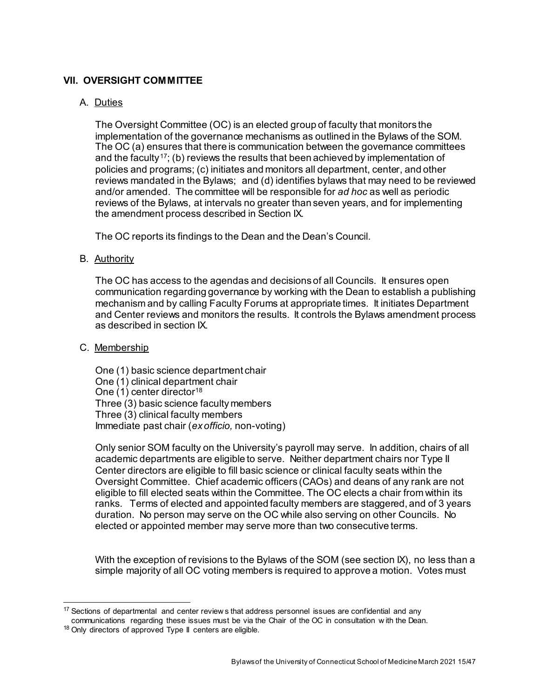# **VII. OVERSIGHT COMMITTEE**

## A. Duties

The Oversight Committee (OC) is an elected group of faculty that monitors the implementation of the governance mechanisms as outlined in the Bylaws of the SOM. The OC (a) ensures that there is communication between the governance committees and the faculty<sup>17</sup>; (b) reviews the results that been achieved by implementation of policies and programs; (c) initiates and monitors all department, center, and other reviews mandated in the Bylaws; and (d) identifies bylaws that may need to be reviewed and/or amended. The committee will be responsible for *ad hoc* as well as periodic reviews of the Bylaws, at intervals no greater than seven years, and for implementing the amendment process described in Section IX.

The OC reports its findings to the Dean and the Dean's Council.

### B. Authority

The OC has access to the agendas and decisions of all Councils. It ensures open communication regarding governance by working with the Dean to establish a publishing mechanism and by calling Faculty Forums at appropriate times. It initiates Department and Center reviews and monitors the results. It controls the Bylaws amendment process as described in section IX.

### C. Membership

One (1) basic science department chair One (1) clinical department chair One  $(1)$  center director<sup>[18](#page-14-1)</sup> Three (3) basic science faculty members Three (3) clinical faculty members Immediate past chair (*ex officio,* non-voting)

Only senior SOM faculty on the University's payroll may serve. In addition, chairs of all academic departments are eligible to serve. Neither department chairs nor Type II Center directors are eligible to fill basic science or clinical faculty seats within the Oversight Committee. Chief academic officers (CAOs) and deans of any rank are not eligible to fill elected seats within the Committee. The OC elects a chair from within its ranks. Terms of elected and appointed faculty members are staggered, and of 3 years duration. No person may serve on the OC while also serving on other Councils. No elected or appointed member may serve more than two consecutive terms.

With the exception of revisions to the Bylaws of the SOM (see section IX), no less than a simple majority of all OC voting members is required to approve a motion. Votes must

<span id="page-14-0"></span><sup>&</sup>lt;sup>17</sup> Sections of departmental and center review s that address personnel issues are confidential and any

communications regarding these issues must be via the Chair of the OC in consultation w ith the Dean.

<span id="page-14-1"></span><sup>&</sup>lt;sup>18</sup> Only directors of approved Type II centers are eligible.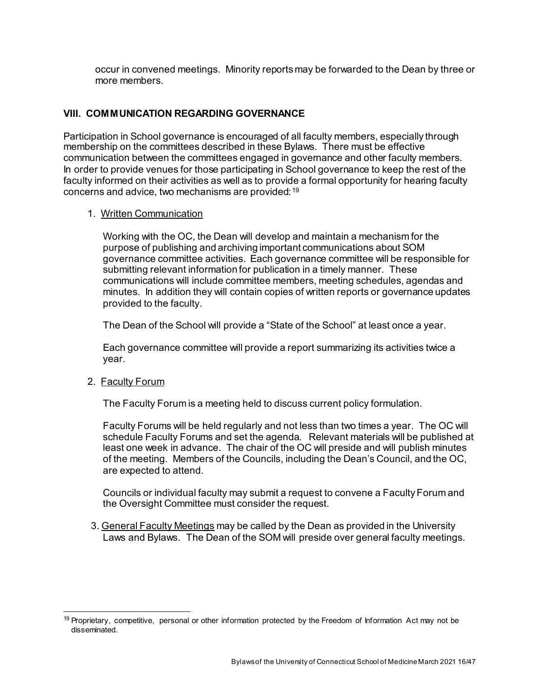occur in convened meetings. Minority reports may be forwarded to the Dean by three or more members.

# **VIII. COMMUNICATION REGARDING GOVERNANCE**

Participation in School governance is encouraged of all faculty members, especially through membership on the committees described in these Bylaws. There must be effective communication between the committees engaged in governance and other faculty members. In order to provide venues for those participating in School governance to keep the rest of the faculty informed on their activities as well as to provide a formal opportunity for hearing faculty concerns and advice, two mechanisms are provided: [19](#page-15-0)

### 1. Written Communication

Working with the OC, the Dean will develop and maintain a mechanism for the purpose of publishing and archiving important communications about SOM governance committee activities. Each governance committee will be responsible for submitting relevant information for publication in a timely manner. These communications will include committee members, meeting schedules, agendas and minutes. In addition they will contain copies of written reports or governance updates provided to the faculty.

The Dean of the School will provide a "State of the School" at least once a year.

Each governance committee will provide a report summarizing its activities twice a year.

# 2. Faculty Forum

The Faculty Forum is a meeting held to discuss current policy formulation.

Faculty Forums will be held regularly and not less than two times a year. The OC will schedule Faculty Forums and set the agenda. Relevant materials will be published at least one week in advance. The chair of the OC will preside and will publish minutes of the meeting. Members of the Councils, including the Dean's Council, and the OC, are expected to attend.

Councils or individual faculty may submit a request to convene a Faculty Forum and the Oversight Committee must consider the request.

3. General Faculty Meetings may be called by the Dean as provided in the University Laws and Bylaws. The Dean of the SOM will preside over general faculty meetings.

<span id="page-15-0"></span><sup>&</sup>lt;sup>19</sup> Proprietary, competitive, personal or other information protected by the Freedom of Information Act may not be disseminated.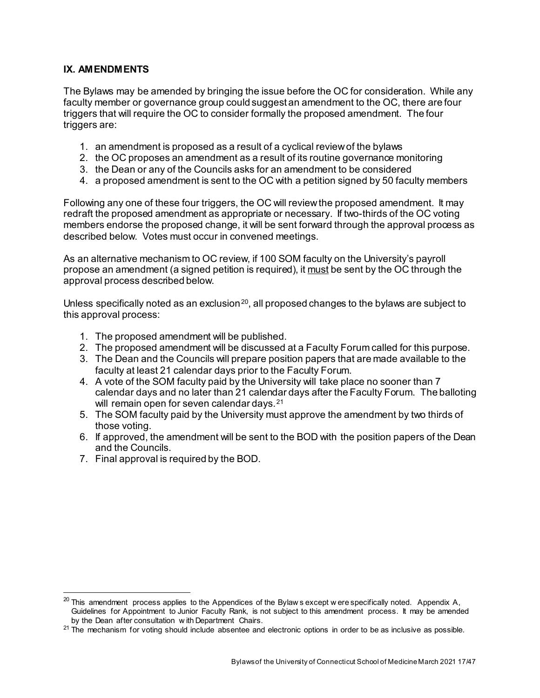# **IX. AMENDMENTS**

The Bylaws may be amended by bringing the issue before the OC for consideration. While any faculty member or governance group could suggest an amendment to the OC, there are four triggers that will require the OC to consider formally the proposed amendment. The four triggers are:

- 1. an amendment is proposed as a result of a cyclical review of the bylaws
- 2. the OC proposes an amendment as a result of its routine governance monitoring
- 3. the Dean or any of the Councils asks for an amendment to be considered
- 4. a proposed amendment is sent to the OC with a petition signed by 50 faculty members

Following any one of these four triggers, the OC will review the proposed amendment. It may redraft the proposed amendment as appropriate or necessary. If two-thirds of the OC voting members endorse the proposed change, it will be sent forward through the approval process as described below. Votes must occur in convened meetings.

As an alternative mechanism to OC review, if 100 SOM faculty on the University's payroll propose an amendment (a signed petition is required), it must be sent by the OC through the approval process described below.

Unless specifically noted as an exclusion<sup>20</sup>, all proposed changes to the bylaws are subject to this approval process:

- 1. The proposed amendment will be published.
- 2. The proposed amendment will be discussed at a Faculty Forum called for this purpose.
- 3. The Dean and the Councils will prepare position papers that are made available to the faculty at least 21 calendar days prior to the Faculty Forum.
- 4. A vote of the SOM faculty paid by the University will take place no sooner than 7 calendar days and no later than 21 calendar days after the Faculty Forum. The balloting will remain open for seven calendar days.<sup>[21](#page-16-1)</sup>
- 5. The SOM faculty paid by the University must approve the amendment by two thirds of those voting.
- 6. If approved, the amendment will be sent to the BOD with the position papers of the Dean and the Councils.
- 7. Final approval is required by the BOD.

<span id="page-16-0"></span> $^{20}$  This amendment process applies to the Appendices of the Bylaw s except w ere specifically noted. Appendix A, Guidelines for Appointment to Junior Faculty Rank, is not subject to this amendment process. It may be amended by the Dean after consultation w ith Department Chairs.

<span id="page-16-1"></span> $21$  The mechanism for voting should include absentee and electronic options in order to be as inclusive as possible.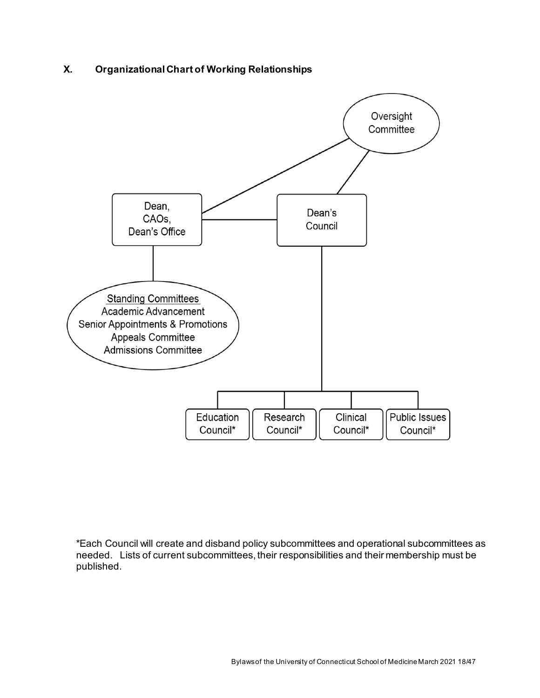# **X. Organizational Chart of Working Relationships**



\*Each Council will create and disband policy subcommittees and operational subcommittees as needed. Lists of current subcommittees, their responsibilities and their membership must be published.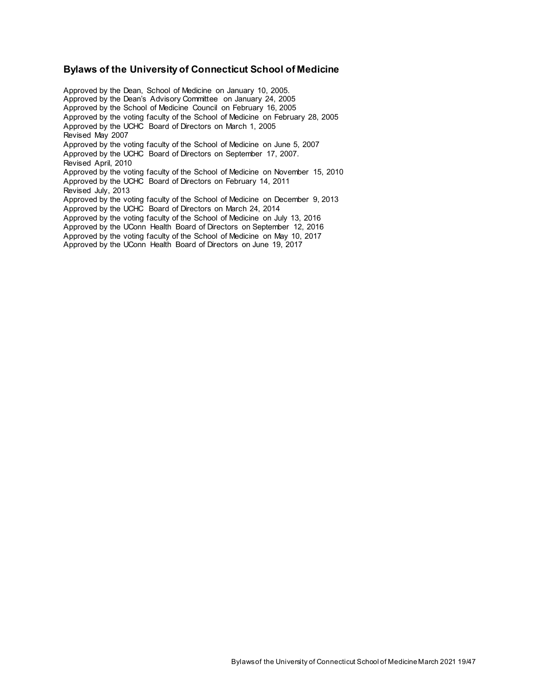#### **Bylaws of the University of Connecticut School of Medicine**

Approved by the Dean, School of Medicine on January 10, 2005. Approved by the Dean's Advisory Committee on January 24, 2005 Approved by the School of Medicine Council on February 16, 2005 Approved by the voting faculty of the School of Medicine on February 28, 2005 Approved by the UCHC Board of Directors on March 1, 2005 Revised May 2007 Approved by the voting faculty of the School of Medicine on June 5, 2007 Approved by the UCHC Board of Directors on September 17, 2007. Revised April, 2010 Approved by the voting faculty of the School of Medicine on November 15, 2010 Approved by the UCHC Board of Directors on February 14, 2011 Revised July, 2013 Approved by the voting faculty of the School of Medicine on December 9, 2013 Approved by the UCHC Board of Directors on March 24, 2014 Approved by the voting faculty of the School of Medicine on July 13, 2016 Approved by the UConn Health Board of Directors on September 12, 2016 Approved by the voting faculty of the School of Medicine on May 10, 2017 Approved by the UConn Health Board of Directors on June 19, 2017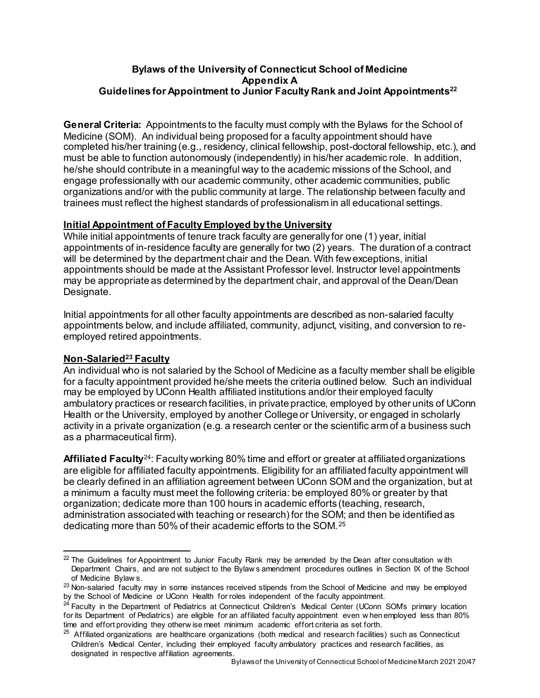# **Bylaws of the University of Connecticut School of Medicine Appendix A Guidelines for Appointment to Junior Faculty Rank and Joint Appointment[s22](#page-19-0)**

**General Criteria:** Appointments to the faculty must comply with the Bylaws for the School of Medicine (SOM). An individual being proposed for a faculty appointment should have completed his/her training (e.g., residency, clinical fellowship, post-doctoral fellowship, etc.), and must be able to function autonomously (independently) in his/her academic role. In addition, he/she should contribute in a meaningful way to the academic missions of the School, and engage professionally with our academic community, other academic communities, public organizations and/or with the public community at large. The relationship between faculty and trainees must reflect the highest standards of professionalism in all educational settings.

# **Initial Appointment of Faculty Employed by the University**

While initial appointments of tenure track faculty are generally for one (1) year, initial appointments of in-residence faculty are generally for two (2) years. The duration of a contract will be determined by the department chair and the Dean. With few exceptions, initial appointments should be made at the Assistant Professor level. Instructor level appointments may be appropriate as determined by the department chair, and approval of the Dean/Dean Designate.

Initial appointments for all other faculty appointments are described as non-salaried faculty appointments below, and include affiliated, community, adjunct, visiting, and conversion to reemployed retired appointments.

# **Non-Salarie[d23](#page-19-1) Faculty**

An individual who is not salaried by the School of Medicine as a faculty member shall be eligible for a faculty appointment provided he/she meets the criteria outlined below. Such an individual may be employed by UConn Health affiliated institutions and/or their employed faculty ambulatory practices or research facilities, in private practice, employed by other units of UConn Health or the University, employed by another College or University, or engaged in scholarly activity in a private organization (e.g. a research center or the scientific arm of a business such as a pharmaceutical firm).

**Affiliated Faculty**[24](#page-19-2): Faculty working 80% time and effort or greater at affiliated organizations are eligible for affiliated faculty appointments. Eligibility for an affiliated faculty appointment will be clearly defined in an affiliation agreement between UConn SOM and the organization, but at a minimum a faculty must meet the following criteria: be employed 80% or greater by that organization; dedicate more than 100 hours in academic efforts (teaching, research, administration associated with teaching or research) for the SOM; and then be identified as dedicating more than 50% of their academic efforts to the SOM. [25](#page-19-3)

<span id="page-19-0"></span> $22$  The Guidelines for Appointment to Junior Faculty Rank may be amended by the Dean after consultation with Department Chairs, and are not subject to the Bylaw s amendment procedures outlines in Section IX of the School of Medicine Bylaw s.

<span id="page-19-1"></span><sup>&</sup>lt;sup>23</sup> Non-salaried faculty may in some instances received stipends from the School of Medicine and may be employed by the School of Medicine or UConn Health for roles independent of the faculty appointment.

<span id="page-19-2"></span>Faculty in the Department of Pediatrics at Connecticut Children's Medical Center (UConn SOM's primary location for its Department of Pediatrics) are eligible for an affiliated faculty appointment even w hen employed less than 80% time and effort providing they otherw ise meet minimum academic effort criteria as set forth.

<span id="page-19-3"></span> $25$  Affiliated organizations are healthcare organizations (both medical and research facilities) such as Connecticut Children's Medical Center, including their employed faculty ambulatory practices and research facilities, as designated in respective affiliation agreements.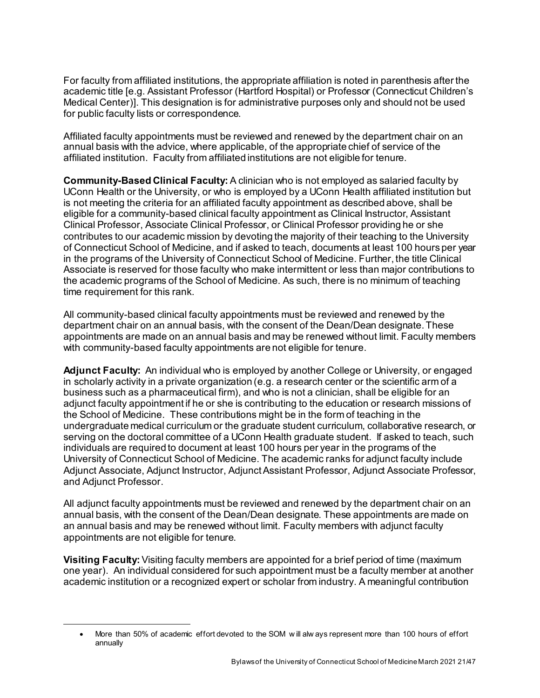For faculty from affiliated institutions, the appropriate affiliation is noted in parenthesis after the academic title [e.g. Assistant Professor (Hartford Hospital) or Professor (Connecticut Children's Medical Center)]. This designation is for administrative purposes only and should not be used for public faculty lists or correspondence.

Affiliated faculty appointments must be reviewed and renewed by the department chair on an annual basis with the advice, where applicable, of the appropriate chief of service of the affiliated institution. Faculty from affiliated institutions are not eligible for tenure.

**Community-Based Clinical Faculty:** A clinician who is not employed as salaried faculty by UConn Health or the University, or who is employed by a UConn Health affiliated institution but is not meeting the criteria for an affiliated faculty appointment as described above, shall be eligible for a community-based clinical faculty appointment as Clinical Instructor, Assistant Clinical Professor, Associate Clinical Professor, or Clinical Professor providing he or she contributes to our academic mission by devoting the majority of their teaching to the University of Connecticut School of Medicine, and if asked to teach, documents at least 100 hours per year in the programs of the University of Connecticut School of Medicine. Further, the title Clinical Associate is reserved for those faculty who make intermittent or less than major contributions to the academic programs of the School of Medicine. As such, there is no minimum of teaching time requirement for this rank.

All community-based clinical faculty appointments must be reviewed and renewed by the department chair on an annual basis, with the consent of the Dean/Dean designate. These appointments are made on an annual basis and may be renewed without limit. Faculty members with community-based faculty appointments are not eligible for tenure.

**Adjunct Faculty:** An individual who is employed by another College or University, or engaged in scholarly activity in a private organization (e.g. a research center or the scientific arm of a business such as a pharmaceutical firm), and who is not a clinician, shall be eligible for an adjunct faculty appointment if he or she is contributing to the education or research missions of the School of Medicine. These contributions might be in the form of teaching in the undergraduate medical curriculum or the graduate student curriculum, collaborative research, or serving on the doctoral committee of a UConn Health graduate student. If asked to teach, such individuals are required to document at least 100 hours per year in the programs of the University of Connecticut School of Medicine. The academic ranks for adjunct faculty include Adjunct Associate, Adjunct Instructor, Adjunct Assistant Professor, Adjunct Associate Professor, and Adjunct Professor.

All adjunct faculty appointments must be reviewed and renewed by the department chair on an annual basis, with the consent of the Dean/Dean designate. These appointments are made on an annual basis and may be renewed without limit. Faculty members with adjunct faculty appointments are not eligible for tenure.

**Visiting Faculty:** Visiting faculty members are appointed for a brief period of time (maximum one year). An individual considered for such appointment must be a faculty member at another academic institution or a recognized expert or scholar from industry. A meaningful contribution

 $\overline{a}$ 

<sup>•</sup> More than 50% of academic effort devoted to the SOM w ill alw ays represent more than 100 hours of effort annually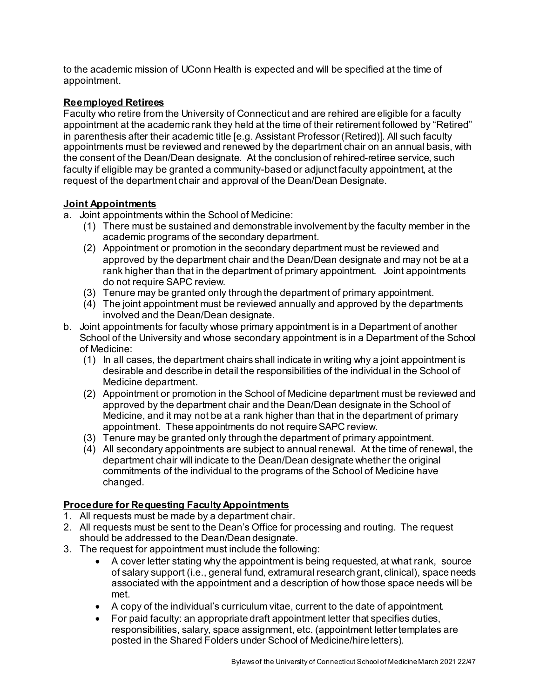to the academic mission of UConn Health is expected and will be specified at the time of appointment.

# **Reemployed Retirees**

Faculty who retire from the University of Connecticut and are rehired are eligible for a faculty appointment at the academic rank they held at the time of their retirement followed by "Retired" in parenthesis after their academic title [e.g. Assistant Professor (Retired)]. All such faculty appointments must be reviewed and renewed by the department chair on an annual basis, with the consent of the Dean/Dean designate. At the conclusion of rehired-retiree service, such faculty if eligible may be granted a community-based or adjunct faculty appointment, at the request of the department chair and approval of the Dean/Dean Designate.

# **Joint Appointments**

a. Joint appointments within the School of Medicine:

- (1) There must be sustained and demonstrable involvement by the faculty member in the academic programs of the secondary department.
- (2) Appointment or promotion in the secondary department must be reviewed and approved by the department chair and the Dean/Dean designate and may not be at a rank higher than that in the department of primary appointment. Joint appointments do not require SAPC review.
- (3) Tenure may be granted only through the department of primary appointment.
- (4) The joint appointment must be reviewed annually and approved by the departments involved and the Dean/Dean designate.
- b. Joint appointments for faculty whose primary appointment is in a Department of another School of the University and whose secondary appointment is in a Department of the School of Medicine:
	- (1) In all cases, the department chairs shall indicate in writing why a joint appointment is desirable and describe in detail the responsibilities of the individual in the School of Medicine department.
	- (2) Appointment or promotion in the School of Medicine department must be reviewed and approved by the department chair and the Dean/Dean designate in the School of Medicine, and it may not be at a rank higher than that in the department of primary appointment. These appointments do not require SAPC review.
	- (3) Tenure may be granted only through the department of primary appointment.
	- (4) All secondary appointments are subject to annual renewal. At the time of renewal, the department chair will indicate to the Dean/Dean designate whether the original commitments of the individual to the programs of the School of Medicine have changed.

# **Procedure for Requesting Faculty Appointments**

- 1. All requests must be made by a department chair.
- 2. All requests must be sent to the Dean's Office for processing and routing. The request should be addressed to the Dean/Dean designate.
- 3. The request for appointment must include the following:
	- A cover letter stating why the appointment is being requested, at what rank, source of salary support (i.e., general fund, extramural research grant, clinical), space needs associated with the appointment and a description of how those space needs will be met.
	- A copy of the individual's curriculum vitae, current to the date of appointment.
	- For paid faculty: an appropriate draft appointment letter that specifies duties, responsibilities, salary, space assignment, etc. (appointment letter templates are posted in the Shared Folders under School of Medicine/hire letters).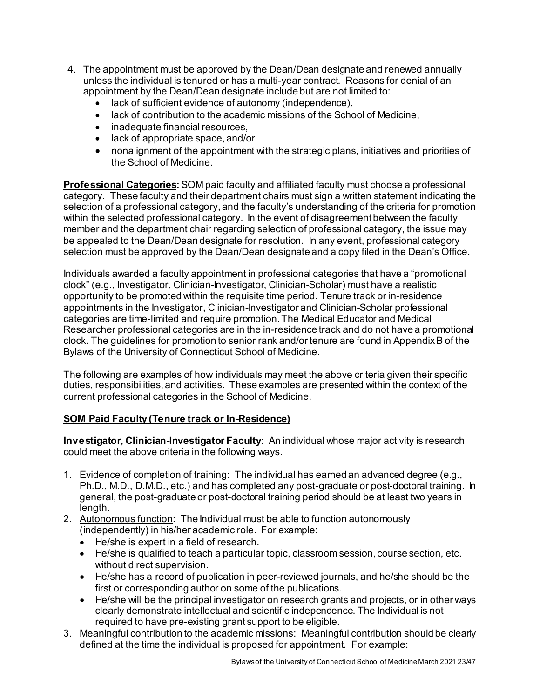- 4. The appointment must be approved by the Dean/Dean designate and renewed annually unless the individual is tenured or has a multi-year contract. Reasons for denial of an appointment by the Dean/Dean designate include but are not limited to:
	- lack of sufficient evidence of autonomy (independence),
	- lack of contribution to the academic missions of the School of Medicine,
	- inadequate financial resources,
	- lack of appropriate space, and/or
	- nonalignment of the appointment with the strategic plans, initiatives and priorities of the School of Medicine.

**Professional Categories:** SOM paid faculty and affiliated faculty must choose a professional category. These faculty and their department chairs must sign a written statement indicating the selection of a professional category, and the faculty's understanding of the criteria for promotion within the selected professional category. In the event of disagreement between the faculty member and the department chair regarding selection of professional category, the issue may be appealed to the Dean/Dean designate for resolution. In any event, professional category selection must be approved by the Dean/Dean designate and a copy filed in the Dean's Office.

Individuals awarded a faculty appointment in professional categories that have a "promotional clock" (e.g., Investigator, Clinician-Investigator, Clinician-Scholar) must have a realistic opportunity to be promoted within the requisite time period. Tenure track or in-residence appointments in the Investigator, Clinician-Investigator and Clinician-Scholar professional categories are time-limited and require promotion. The Medical Educator and Medical Researcher professional categories are in the in-residence track and do not have a promotional clock. The guidelines for promotion to senior rank and/or tenure are found in Appendix B of the Bylaws of the University of Connecticut School of Medicine.

The following are examples of how individuals may meet the above criteria given their specific duties, responsibilities, and activities. These examples are presented within the context of the current professional categories in the School of Medicine.

# **SOM Paid Faculty (Tenure track or In-Residence)**

**Investigator, Clinician-Investigator Faculty:** An individual whose major activity is research could meet the above criteria in the following ways.

- 1. Evidence of completion of training: The individual has earned an advanced degree (e.g., Ph.D., M.D., D.M.D., etc.) and has completed any post-graduate or post-doctoral training. In general, the post-graduate or post-doctoral training period should be at least two years in length.
- 2. Autonomous function: The Individual must be able to function autonomously (independently) in his/her academic role. For example:
	- He/she is expert in a field of research.
	- He/she is qualified to teach a particular topic, classroom session, course section, etc. without direct supervision.
	- He/she has a record of publication in peer-reviewed journals, and he/she should be the first or corresponding author on some of the publications.
	- He/she will be the principal investigator on research grants and projects, or in other ways clearly demonstrate intellectual and scientific independence. The Individual is not required to have pre-existing grant support to be eligible.
- 3. Meaningful contribution to the academic missions: Meaningful contribution should be clearly defined at the time the individual is proposed for appointment. For example: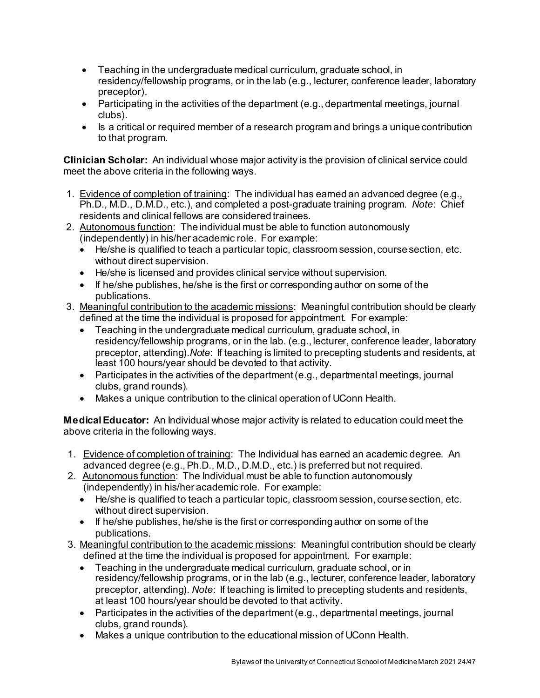- Teaching in the undergraduate medical curriculum, graduate school, in residency/fellowship programs, or in the lab (e.g., lecturer, conference leader, laboratory preceptor).
- Participating in the activities of the department (e.g., departmental meetings, journal clubs).
- Is a critical or required member of a research program and brings a unique contribution to that program.

**Clinician Scholar:** An individual whose major activity is the provision of clinical service could meet the above criteria in the following ways.

- 1. Evidence of completion of training: The individual has earned an advanced degree (e.g., Ph.D., M.D., D.M.D., etc.), and completed a post-graduate training program. *Note*: Chief residents and clinical fellows are considered trainees.
- 2. Autonomous function: The individual must be able to function autonomously (independently) in his/her academic role. For example:
	- He/she is qualified to teach a particular topic, classroom session, course section, etc. without direct supervision.
	- He/she is licensed and provides clinical service without supervision.
	- If he/she publishes, he/she is the first or corresponding author on some of the publications.
- 3. Meaningful contribution to the academic missions: Meaningful contribution should be clearly defined at the time the individual is proposed for appointment. For example:
	- Teaching in the undergraduate medical curriculum, graduate school, in residency/fellowship programs, or in the lab. (e.g., lecturer, conference leader, laboratory preceptor, attending).*Note*: If teaching is limited to precepting students and residents, at least 100 hours/year should be devoted to that activity.
	- Participates in the activities of the department (e.g., departmental meetings, journal clubs, grand rounds).
	- Makes a unique contribution to the clinical operation of UConn Health.

**Medical Educator:** An Individual whose major activity is related to education could meet the above criteria in the following ways.

- 1. Evidence of completion of training: The Individual has earned an academic degree. An advanced degree (e.g., Ph.D., M.D., D.M.D., etc.) is preferred but not required.
- 2. Autonomous function: The Individual must be able to function autonomously (independently) in his/her academic role. For example:
	- He/she is qualified to teach a particular topic, classroom session, course section, etc. without direct supervision.
	- If he/she publishes, he/she is the first or corresponding author on some of the publications.
- 3. Meaningful contribution to the academic missions: Meaningful contribution should be clearly defined at the time the individual is proposed for appointment. For example:
	- Teaching in the undergraduate medical curriculum, graduate school, or in residency/fellowship programs, or in the lab (e.g., lecturer, conference leader, laboratory preceptor, attending). *Note*: If teaching is limited to precepting students and residents, at least 100 hours/year should be devoted to that activity.
	- Participates in the activities of the department (e.g., departmental meetings, journal clubs, grand rounds).
	- Makes a unique contribution to the educational mission of UConn Health.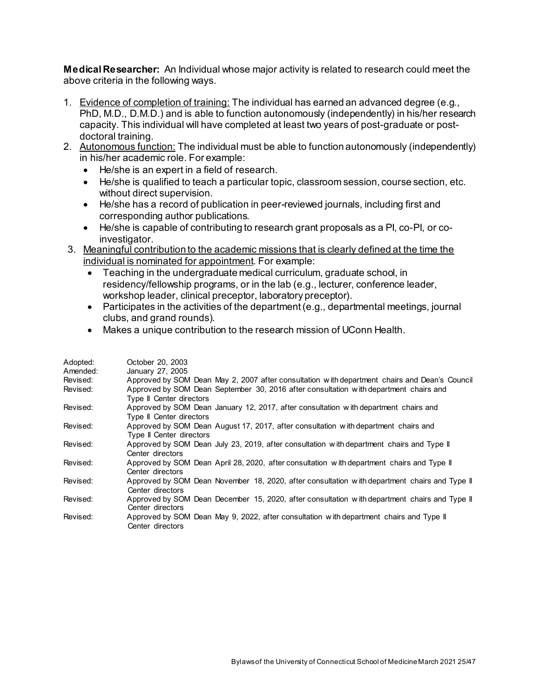**Medical Researcher:** An Individual whose major activity is related to research could meet the above criteria in the following ways.

- 1. Evidence of completion of training: The individual has earned an advanced degree (e.g., PhD, M.D., D.M.D.) and is able to function autonomously (independently) in his/her research capacity. This individual will have completed at least two years of post-graduate or postdoctoral training.
- 2. Autonomous function: The individual must be able to function autonomously (independently) in his/her academic role. For example:
	- He/she is an expert in a field of research.
	- He/she is qualified to teach a particular topic, classroom session, course section, etc. without direct supervision.
	- He/she has a record of publication in peer-reviewed journals, including first and corresponding author publications.
	- He/she is capable of contributing to research grant proposals as a PI, co-PI, or coinvestigator.
- 3. Meaningful contribution to the academic missions that is clearly defined at the time the individual is nominated for appointment. For example:
	- Teaching in the undergraduate medical curriculum, graduate school, in residency/fellowship programs, or in the lab (e.g., lecturer, conference leader, workshop leader, clinical preceptor, laboratory preceptor).
	- Participates in the activities of the department (e.g., departmental meetings, journal clubs, and grand rounds).
	- Makes a unique contribution to the research mission of UConn Health.

| Adopted: | October 20, 2003                                                                              |
|----------|-----------------------------------------------------------------------------------------------|
| Amended: | January 27, 2005                                                                              |
| Revised: | Approved by SOM Dean May 2, 2007 after consultation with department chairs and Dean's Council |
| Revised: | Approved by SOM Dean September 30, 2016 after consultation with department chairs and         |
|          | Type II Center directors                                                                      |
| Revised: | Approved by SOM Dean January 12, 2017, after consultation with department chairs and          |
|          | Type II Center directors                                                                      |
| Revised: | Approved by SOM Dean August 17, 2017, after consultation with department chairs and           |
|          | Type II Center directors                                                                      |
| Revised: | Approved by SOM Dean July 23, 2019, after consultation with department chairs and Type II     |
|          | Center directors                                                                              |
| Revised: | Approved by SOM Dean April 28, 2020, after consultation with department chairs and Type II    |
|          | Center directors                                                                              |
| Revised: | Approved by SOM Dean November 18, 2020, after consultation with department chairs and Type II |
|          | Center directors                                                                              |
| Revised: | Approved by SOM Dean December 15, 2020, after consultation with department chairs and Type II |
|          | Center directors                                                                              |
| Revised: | Approved by SOM Dean May 9, 2022, after consultation with department chairs and Type II       |
|          | Center directors                                                                              |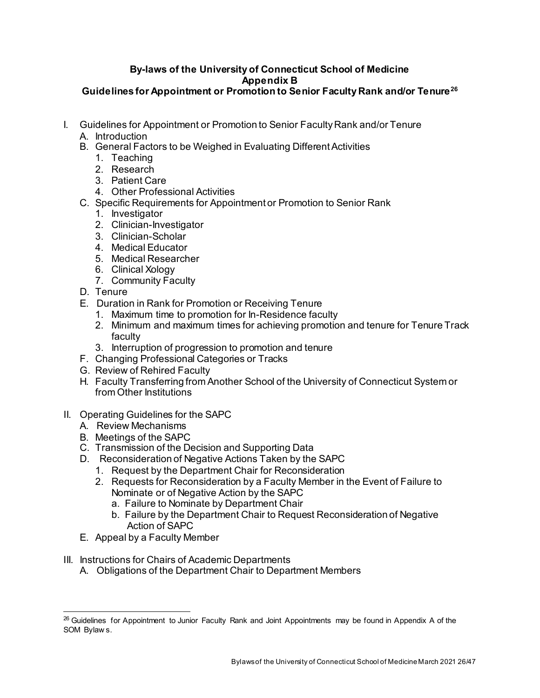#### **By-laws of the University of Connecticut School of Medicine Appendix B Guidelines for Appointment or Promotion to Senior Faculty Rank and/or Tenure[26](#page-25-0)**

- I. Guidelines for Appointment or Promotion to Senior Faculty Rank and/or Tenure
	- A. Introduction
	- B. General Factors to be Weighed in Evaluating Different Activities
		- 1. Teaching
		- 2. Research
		- 3. Patient Care
		- 4. Other Professional Activities
	- C. Specific Requirements for Appointment or Promotion to Senior Rank
		- 1. Investigator
		- 2. Clinician-Investigator
		- 3. Clinician-Scholar
		- 4. Medical Educator
		- 5. Medical Researcher
		- 6. Clinical Xology
		- 7. Community Faculty
	- D. Tenure
	- E. Duration in Rank for Promotion or Receiving Tenure
		- 1. Maximum time to promotion for In-Residence faculty
		- 2. Minimum and maximum times for achieving promotion and tenure for Tenure Track faculty
		- 3. Interruption of progression to promotion and tenure
	- F. Changing Professional Categories or Tracks
	- G. Review of Rehired Faculty
	- H. Faculty Transferring from Another School of the University of Connecticut System or from Other Institutions
- II. Operating Guidelines for the SAPC
	- A. Review Mechanisms
	- B. Meetings of the SAPC
	- C. Transmission of the Decision and Supporting Data
	- D. Reconsideration of Negative Actions Taken by the SAPC
		- 1. Request by the Department Chair for Reconsideration
		- 2. Requests for Reconsideration by a Faculty Member in the Event of Failure to Nominate or of Negative Action by the SAPC
			- a. Failure to Nominate by Department Chair
			- b. Failure by the Department Chair to Request Reconsideration of Negative Action of SAPC
	- E. Appeal by a Faculty Member
- III. Instructions for Chairs of Academic Departments
	- A. Obligations of the Department Chair to Department Members

<span id="page-25-0"></span><sup>&</sup>lt;sup>26</sup> Guidelines for Appointment to Junior Faculty Rank and Joint Appointments may be found in Appendix A of the SOM Bylaw s.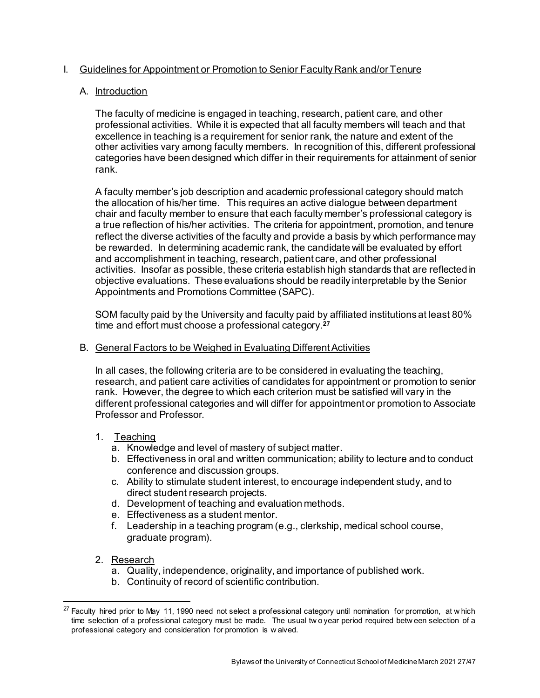# I. Guidelines for Appointment or Promotion to Senior Faculty Rank and/or Tenure

# A. Introduction

The faculty of medicine is engaged in teaching, research, patient care, and other professional activities. While it is expected that all faculty members will teach and that excellence in teaching is a requirement for senior rank, the nature and extent of the other activities vary among faculty members. In recognition of this, different professional categories have been designed which differ in their requirements for attainment of senior rank.

A faculty member's job description and academic professional category should match the allocation of his/her time. This requires an active dialogue between department chair and faculty member to ensure that each faculty member's professional category is a true reflection of his/her activities. The criteria for appointment, promotion, and tenure reflect the diverse activities of the faculty and provide a basis by which performance may be rewarded. In determining academic rank, the candidate will be evaluated by effort and accomplishment in teaching, research, patient care, and other professional activities. Insofar as possible, these criteria establish high standards that are reflected in objective evaluations. These evaluations should be readily interpretable by the Senior Appointments and Promotions Committee (SAPC).

SOM faculty paid by the University and faculty paid by affiliated institutions at least 80% time and effort must choose a professional category.**[27](#page-26-0)**

# B. General Factors to be Weighed in Evaluating Different Activities

In all cases, the following criteria are to be considered in evaluating the teaching, research, and patient care activities of candidates for appointment or promotion to senior rank. However, the degree to which each criterion must be satisfied will vary in the different professional categories and will differ for appointment or promotion to Associate Professor and Professor.

# 1. Teaching

- a. Knowledge and level of mastery of subject matter.
- b. Effectiveness in oral and written communication; ability to lecture and to conduct conference and discussion groups.
- c. Ability to stimulate student interest, to encourage independent study, and to direct student research projects.
- d. Development of teaching and evaluation methods.
- e. Effectiveness as a student mentor.
- f. Leadership in a teaching program (e.g., clerkship, medical school course, graduate program).
- 2. Research
	- a. Quality, independence, originality, and importance of published work.
	- b. Continuity of record of scientific contribution.

<span id="page-26-0"></span> $27$  Faculty hired prior to May 11, 1990 need not select a professional category until nomination for promotion, at w hich time selection of a professional category must be made. The usual tw o year period required betw een selection of a professional category and consideration for promotion is w aived.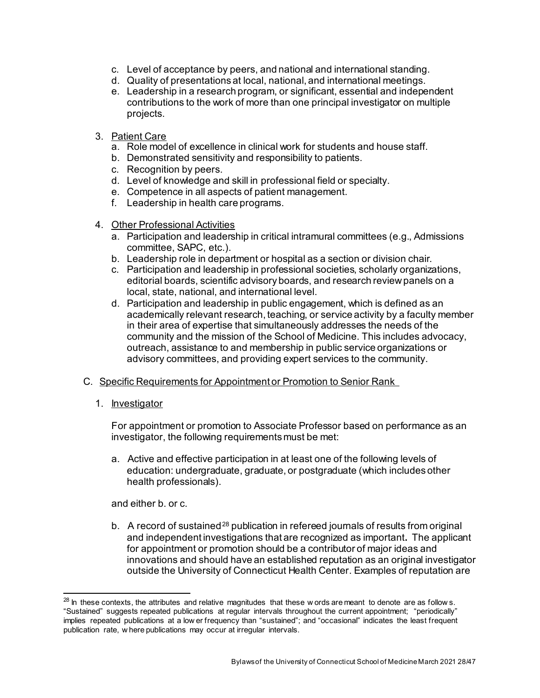- c. Level of acceptance by peers, and national and international standing.
- d. Quality of presentations at local, national, and international meetings.
- e. Leadership in a research program, or significant, essential and independent contributions to the work of more than one principal investigator on multiple projects.
- 3. Patient Care
	- a. Role model of excellence in clinical work for students and house staff.
	- b. Demonstrated sensitivity and responsibility to patients.
	- c. Recognition by peers.
	- d. Level of knowledge and skill in professional field or specialty.
	- e. Competence in all aspects of patient management.
	- f. Leadership in health care programs.
- 4. Other Professional Activities
	- a. Participation and leadership in critical intramural committees (e.g., Admissions committee, SAPC, etc.).
	- b. Leadership role in department or hospital as a section or division chair.
	- c. Participation and leadership in professional societies, scholarly organizations, editorial boards, scientific advisory boards, and research review panels on a local, state, national, and international level.
	- d. Participation and leadership in public engagement, which is defined as an academically relevant research, teaching, or service activity by a faculty member in their area of expertise that simultaneously addresses the needs of the community and the mission of the School of Medicine. This includes advocacy, outreach, assistance to and membership in public service organizations or advisory committees, and providing expert services to the community.

#### C. Specific Requirements for Appointment or Promotion to Senior Rank

1. Investigator

For appointment or promotion to Associate Professor based on performance as an investigator, the following requirements must be met:

a. Active and effective participation in at least one of the following levels of education: undergraduate, graduate, or postgraduate (which includes other health professionals).

and either b. or c.

b. A record of sustained<sup>[28](#page-27-0)</sup> publication in refereed journals of results from original and independent investigations that are recognized as important**.** The applicant for appointment or promotion should be a contributor of major ideas and innovations and should have an established reputation as an original investigator outside the University of Connecticut Health Center. Examples of reputation are

<span id="page-27-0"></span> $^{28}$  In these contexts, the attributes and relative magnitudes that these w ords are meant to denote are as follows. "Sustained" suggests repeated publications at regular intervals throughout the current appointment; "periodically" implies repeated publications at a low er frequency than "sustained"; and "occasional" indicates the least frequent publication rate, w here publications may occur at irregular intervals.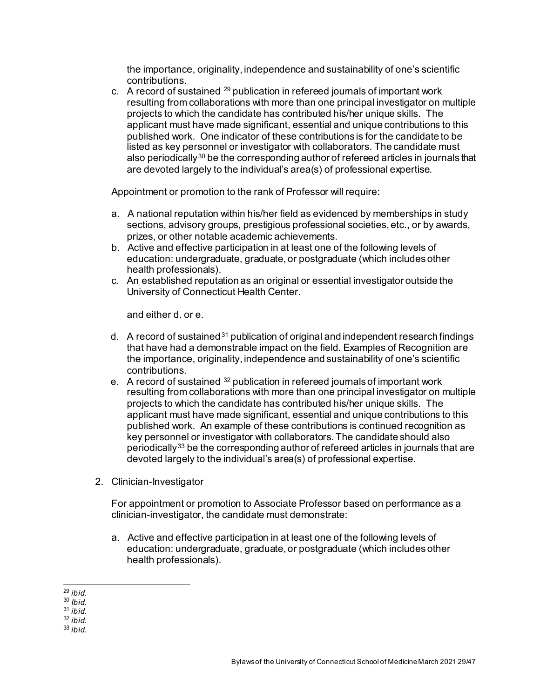the importance, originality, independence and sustainability of one's scientific contributions.

c. A record of sustained  $^{29}$  $^{29}$  $^{29}$  publication in refereed journals of important work resulting from collaborations with more than one principal investigator on multiple projects to which the candidate has contributed his/her unique skills. The applicant must have made significant, essential and unique contributions to this published work. One indicator of these contributions is for the candidate to be listed as key personnel or investigator with collaborators. The candidate must also periodically<sup>[30](#page-28-1)</sup> be the corresponding author of refereed articles in journals that are devoted largely to the individual's area(s) of professional expertise.

Appointment or promotion to the rank of Professor will require:

- a. A national reputation within his/her field as evidenced by memberships in study sections, advisory groups, prestigious professional societies, etc., or by awards, prizes, or other notable academic achievements.
- b. Active and effective participation in at least one of the following levels of education: undergraduate, graduate, or postgraduate (which includes other health professionals).
- c. An established reputation as an original or essential investigator outside the University of Connecticut Health Center.

and either d. or e.

- d. A record of sustained<sup>[31](#page-28-2)</sup> publication of original and independent research findings that have had a demonstrable impact on the field. Examples of Recognition are the importance, originality, independence and sustainability of one's scientific contributions.
- e. A record of sustained [32](#page-28-3) publication in refereed journals of important work resulting from collaborations with more than one principal investigator on multiple projects to which the candidate has contributed his/her unique skills. The applicant must have made significant, essential and unique contributions to this published work. An example of these contributions is continued recognition as key personnel or investigator with collaborators. The candidate should also periodically[33](#page-28-4) be the corresponding author of refereed articles in journals that are devoted largely to the individual's area(s) of professional expertise.
- 2. Clinician-Investigator

For appointment or promotion to Associate Professor based on performance as a clinician-investigator, the candidate must demonstrate:

a. Active and effective participation in at least one of the following levels of education: undergraduate, graduate, or postgraduate (which includes other health professionals).

<span id="page-28-3"></span><sup>32</sup> *ibid.*

<span id="page-28-0"></span> <sup>29</sup> *ibid.*

<sup>30</sup> *Ibid.*

<span id="page-28-2"></span><span id="page-28-1"></span><sup>31</sup> *ibid.*

<span id="page-28-4"></span><sup>33</sup> *ibid.*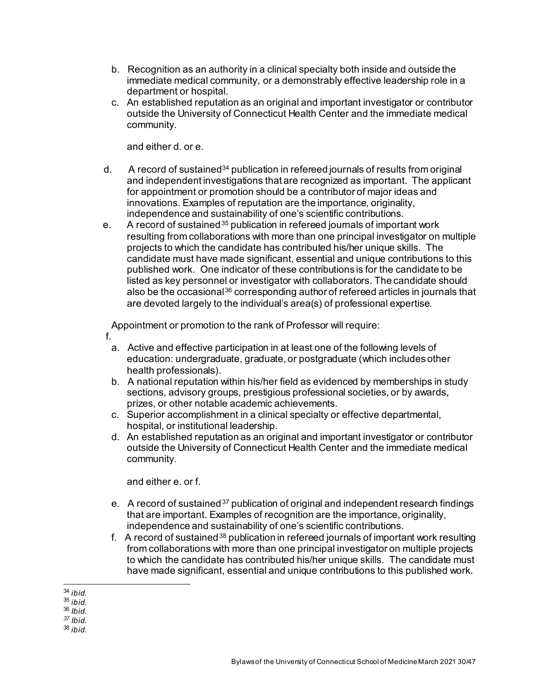- b. Recognition as an authority in a clinical specialty both inside and outside the immediate medical community, or a demonstrably effective leadership role in a department or hospital.
- c. An established reputation as an original and important investigator or contributor outside the University of Connecticut Health Center and the immediate medical community.

and either d. or e.

- d. A record of sustained<sup>[34](#page-29-0)</sup> publication in refereed journals of results from original and independent investigations that are recognized as important. The applicant for appointment or promotion should be a contributor of major ideas and innovations. Examples of reputation are the importance, originality, independence and sustainability of one's scientific contributions.
- e. A record of sustained<sup>[35](#page-29-1)</sup> publication in refereed journals of important work resulting from collaborations with more than one principal investigator on multiple projects to which the candidate has contributed his/her unique skills. The candidate must have made significant, essential and unique contributions to this published work. One indicator of these contributions is for the candidate to be listed as key personnel or investigator with collaborators. The candidate should also be the occasional<sup>[36](#page-29-2)</sup> corresponding author of refereed articles in journals that are devoted largely to the individual's area(s) of professional expertise.

Appointment or promotion to the rank of Professor will require:

- f.
	- a. Active and effective participation in at least one of the following levels of education: undergraduate, graduate, or postgraduate (which includes other health professionals).
	- b. A national reputation within his/her field as evidenced by memberships in study sections, advisory groups, prestigious professional societies, or by awards, prizes, or other notable academic achievements.
	- c. Superior accomplishment in a clinical specialty or effective departmental, hospital, or institutional leadership.
	- d. An established reputation as an original and important investigator or contributor outside the University of Connecticut Health Center and the immediate medical community.

and either e. or f.

- e. A record of sustained<sup>[37](#page-29-3)</sup> publication of original and independent research findings that are important. Examples of recognition are the importance, originality, independence and sustainability of one's scientific contributions.
- f. A record of sustained<sup>[38](#page-29-4)</sup> publication in refereed journals of important work resulting from collaborations with more than one principal investigator on multiple projects to which the candidate has contributed his/her unique skills. The candidate must have made significant, essential and unique contributions to this published work.

<span id="page-29-0"></span> <sup>34</sup> *ibid.*

<sup>35</sup> *ibid.*

<span id="page-29-2"></span><span id="page-29-1"></span><sup>36</sup> *Ibid.*

<span id="page-29-3"></span>*<sup>37</sup> Ibid.*

<span id="page-29-4"></span><sup>38</sup> *ibid.*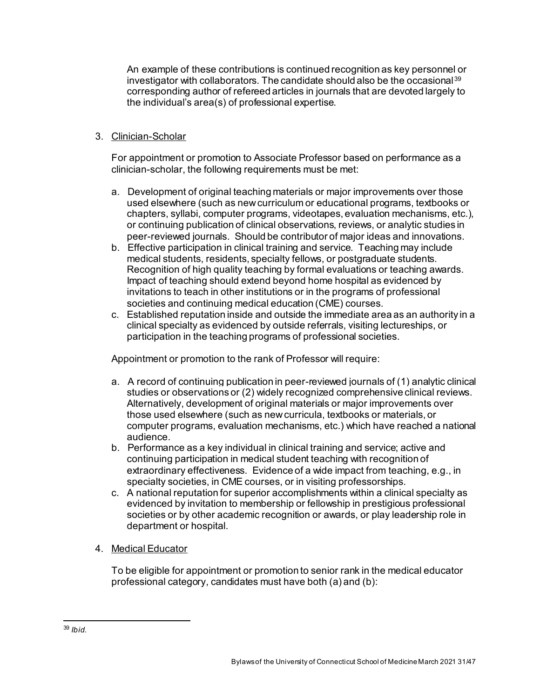An example of these contributions is continued recognition as key personnel or investigator with collaborators. The candidate should also be the occasional<sup>[39](#page-30-0)</sup> corresponding author of refereed articles in journals that are devoted largely to the individual's area(s) of professional expertise.

# 3. Clinician-Scholar

For appointment or promotion to Associate Professor based on performance as a clinician-scholar, the following requirements must be met:

- a. Development of original teaching materials or major improvements over those used elsewhere (such as new curriculum or educational programs, textbooks or chapters, syllabi, computer programs, videotapes, evaluation mechanisms, etc.), or continuing publication of clinical observations, reviews, or analytic studies in peer-reviewed journals. Should be contributor of major ideas and innovations.
- b. Effective participation in clinical training and service. Teaching may include medical students, residents, specialty fellows, or postgraduate students. Recognition of high quality teaching by formal evaluations or teaching awards. Impact of teaching should extend beyond home hospital as evidenced by invitations to teach in other institutions or in the programs of professional societies and continuing medical education (CME) courses.
- c. Established reputation inside and outside the immediate area as an authority in a clinical specialty as evidenced by outside referrals, visiting lectureships, or participation in the teaching programs of professional societies.

Appointment or promotion to the rank of Professor will require:

- a. A record of continuing publication in peer-reviewed journals of (1) analytic clinical studies or observations or (2) widely recognized comprehensive clinical reviews. Alternatively, development of original materials or major improvements over those used elsewhere (such as new curricula, textbooks or materials, or computer programs, evaluation mechanisms, etc.) which have reached a national audience.
- b. Performance as a key individual in clinical training and service; active and continuing participation in medical student teaching with recognition of extraordinary effectiveness. Evidence of a wide impact from teaching, e.g., in specialty societies, in CME courses, or in visiting professorships.
- c. A national reputation for superior accomplishments within a clinical specialty as evidenced by invitation to membership or fellowship in prestigious professional societies or by other academic recognition or awards, or play leadership role in department or hospital.
- 4. Medical Educator

To be eligible for appointment or promotion to senior rank in the medical educator professional category, candidates must have both (a) and (b):

<span id="page-30-0"></span> <sup>39</sup> *Ibid.*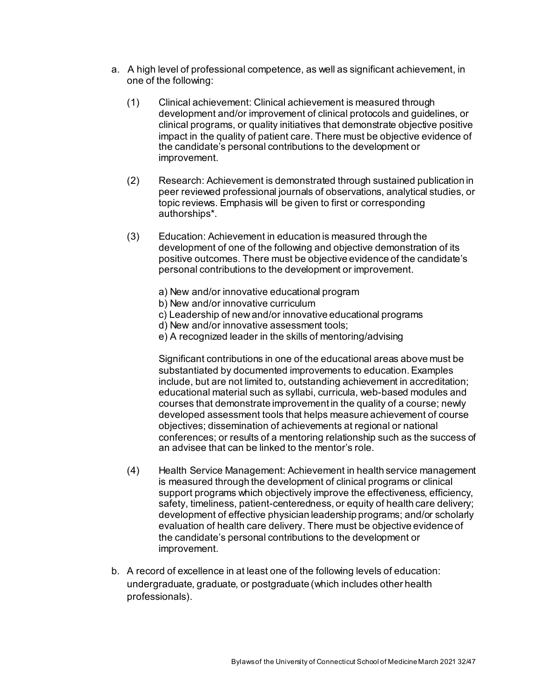- a. A high level of professional competence, as well as significant achievement, in one of the following:
	- (1) Clinical achievement: Clinical achievement is measured through development and/or improvement of clinical protocols and guidelines, or clinical programs, or quality initiatives that demonstrate objective positive impact in the quality of patient care. There must be objective evidence of the candidate's personal contributions to the development or improvement.
	- (2) Research: Achievement is demonstrated through sustained publication in peer reviewed professional journals of observations, analytical studies, or topic reviews. Emphasis will be given to first or corresponding authorships\*.
	- (3) Education: Achievement in education is measured through the development of one of the following and objective demonstration of its positive outcomes. There must be objective evidence of the candidate's personal contributions to the development or improvement.
		- a) New and/or innovative educational program
		- b) New and/or innovative curriculum
		- c) Leadership of new and/or innovative educational programs
		- d) New and/or innovative assessment tools;
		- e) A recognized leader in the skills of mentoring/advising

Significant contributions in one of the educational areas above must be substantiated by documented improvements to education. Examples include, but are not limited to, outstanding achievement in accreditation; educational material such as syllabi, curricula, web-based modules and courses that demonstrate improvement in the quality of a course; newly developed assessment tools that helps measure achievement of course objectives; dissemination of achievements at regional or national conferences; or results of a mentoring relationship such as the success of an advisee that can be linked to the mentor's role.

- (4) Health Service Management: Achievement in health service management is measured through the development of clinical programs or clinical support programs which objectively improve the effectiveness, efficiency, safety, timeliness, patient-centeredness, or equity of health care delivery; development of effective physician leadership programs; and/or scholarly evaluation of health care delivery. There must be objective evidence of the candidate's personal contributions to the development or improvement.
- b. A record of excellence in at least one of the following levels of education: undergraduate, graduate, or postgraduate (which includes other health professionals).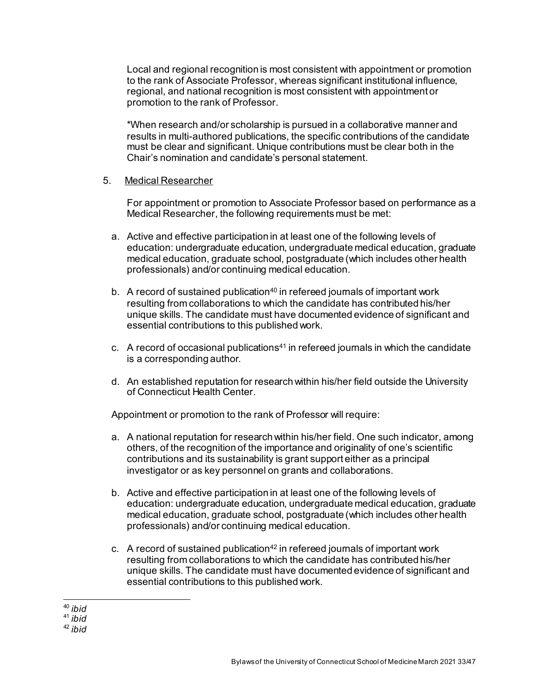Local and regional recognition is most consistent with appointment or promotion to the rank of Associate Professor, whereas significant institutional influence, regional, and national recognition is most consistent with appointment or promotion to the rank of Professor.

\*When research and/or scholarship is pursued in a collaborative manner and results in multi-authored publications, the specific contributions of the candidate must be clear and significant. Unique contributions must be clear both in the Chair's nomination and candidate's personal statement.

5. Medical Researcher

For appointment or promotion to Associate Professor based on performance as a Medical Researcher, the following requirements must be met:

- a. Active and effective participation in at least one of the following levels of education: undergraduate education, undergraduate medical education, graduate medical education, graduate school, postgraduate (which includes other health professionals) and/or continuing medical education.
- b. A record of sustained publication<sup>40</sup> in refereed journals of important work resulting from collaborations to which the candidate has contributed his/her unique skills. The candidate must have documented evidence of significant and essential contributions to this published work.
- c. A record of occasional publications[41](#page-32-1) in refereed journals in which the candidate is a corresponding author.
- d. An established reputation for research within his/her field outside the University of Connecticut Health Center.

Appointment or promotion to the rank of Professor will require:

- a. A national reputation for research within his/her field. One such indicator, among others, of the recognition of the importance and originality of one's scientific contributions and its sustainability is grant support either as a principal investigator or as key personnel on grants and collaborations.
- b. Active and effective participation in at least one of the following levels of education: undergraduate education, undergraduate medical education, graduate medical education, graduate school, postgraduate (which includes other health professionals) and/or continuing medical education.
- c. A record of sustained publication $42$  in refereed journals of important work resulting from collaborations to which the candidate has contributed his/her unique skills. The candidate must have documented evidence of significant and essential contributions to this published work.

 <sup>40</sup> *ibid*

<span id="page-32-1"></span><span id="page-32-0"></span><sup>41</sup> *ibid*

<span id="page-32-2"></span><sup>42</sup> *ibid*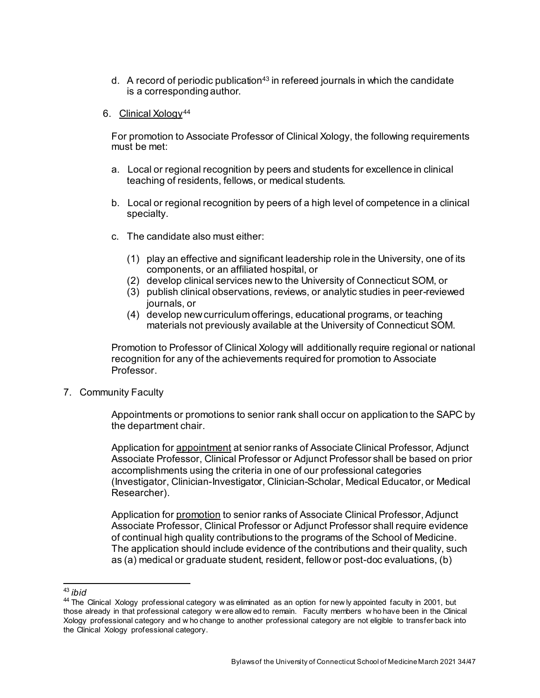d. A record of periodic publication<sup>[43](#page-33-0)</sup> in refereed journals in which the candidate is a corresponding author.

#### 6. Clinical Xology[44](#page-33-1)

For promotion to Associate Professor of Clinical Xology, the following requirements must be met:

- a. Local or regional recognition by peers and students for excellence in clinical teaching of residents, fellows, or medical students.
- b. Local or regional recognition by peers of a high level of competence in a clinical specialty.
- c. The candidate also must either:
	- (1) play an effective and significant leadership role in the University, one of its components, or an affiliated hospital, or
	- (2) develop clinical services new to the University of Connecticut SOM, or
	- (3) publish clinical observations, reviews, or analytic studies in peer-reviewed journals, or
	- (4) develop new curriculum offerings, educational programs, or teaching materials not previously available at the University of Connecticut SOM.

Promotion to Professor of Clinical Xology will additionally require regional or national recognition for any of the achievements required for promotion to Associate **Professor** 

7. Community Faculty

Appointments or promotions to senior rank shall occur on application to the SAPC by the department chair.

Application for appointment at senior ranks of Associate Clinical Professor, Adjunct Associate Professor, Clinical Professor or Adjunct Professor shall be based on prior accomplishments using the criteria in one of our professional categories (Investigator, Clinician-Investigator, Clinician-Scholar, Medical Educator, or Medical Researcher).

Application for promotion to senior ranks of Associate Clinical Professor, Adjunct Associate Professor, Clinical Professor or Adjunct Professor shall require evidence of continual high quality contributions to the programs of the School of Medicine. The application should include evidence of the contributions and their quality, such as (a) medical or graduate student, resident, fellow or post-doc evaluations, (b)

<span id="page-33-0"></span> <sup>43</sup> *ibid*

<span id="page-33-1"></span><sup>&</sup>lt;sup>44</sup> The Clinical Xology professional category w as eliminated as an option for new ly appointed faculty in 2001, but those already in that professional category w ere allow ed to remain. Faculty members w ho have been in the Clinical Xology professional category and w ho change to another professional category are not eligible to transfer back into the Clinical Xology professional category.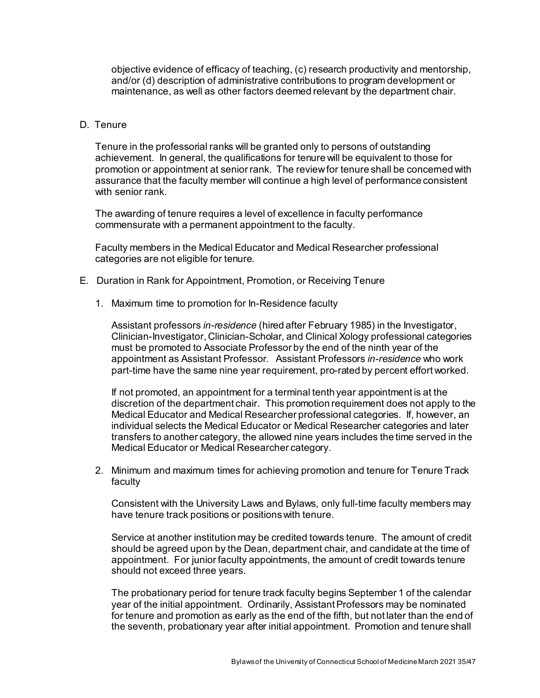objective evidence of efficacy of teaching, (c) research productivity and mentorship, and/or (d) description of administrative contributions to program development or maintenance, as well as other factors deemed relevant by the department chair.

#### D. Tenure

Tenure in the professorial ranks will be granted only to persons of outstanding achievement. In general, the qualifications for tenure will be equivalent to those for promotion or appointment at senior rank. The review for tenure shall be concerned with assurance that the faculty member will continue a high level of performance consistent with senior rank.

The awarding of tenure requires a level of excellence in faculty performance commensurate with a permanent appointment to the faculty.

Faculty members in the Medical Educator and Medical Researcher professional categories are not eligible for tenure.

- E. Duration in Rank for Appointment, Promotion, or Receiving Tenure
	- 1. Maximum time to promotion for In-Residence faculty

Assistant professors *in-residence* (hired after February 1985) in the Investigator, Clinician-Investigator, Clinician-Scholar, and Clinical Xology professional categories must be promoted to Associate Professor by the end of the ninth year of the appointment as Assistant Professor. Assistant Professors *in-residence* who work part-time have the same nine year requirement, pro-rated by percent effort worked.

If not promoted, an appointment for a terminal tenth year appointment is at the discretion of the department chair. This promotion requirement does not apply to the Medical Educator and Medical Researcher professional categories. If, however, an individual selects the Medical Educator or Medical Researcher categories and later transfers to another category, the allowed nine years includes the time served in the Medical Educator or Medical Researcher category.

2. Minimum and maximum times for achieving promotion and tenure for Tenure Track faculty

Consistent with the University Laws and Bylaws, only full-time faculty members may have tenure track positions or positions with tenure.

Service at another institution may be credited towards tenure. The amount of credit should be agreed upon by the Dean, department chair, and candidate at the time of appointment. For junior faculty appointments, the amount of credit towards tenure should not exceed three years.

The probationary period for tenure track faculty begins September 1 of the calendar year of the initial appointment. Ordinarily, Assistant Professors may be nominated for tenure and promotion as early as the end of the fifth, but not later than the end of the seventh, probationary year after initial appointment. Promotion and tenure shall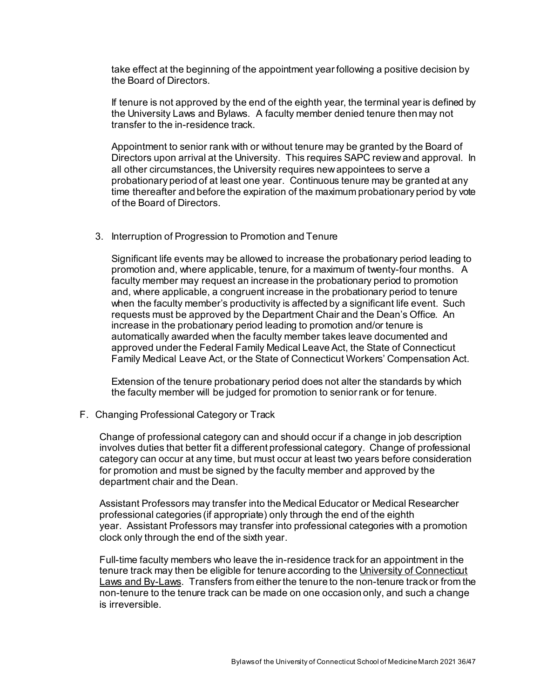take effect at the beginning of the appointment year following a positive decision by the Board of Directors.

If tenure is not approved by the end of the eighth year, the terminal year is defined by the University Laws and Bylaws. A faculty member denied tenure then may not transfer to the in-residence track.

Appointment to senior rank with or without tenure may be granted by the Board of Directors upon arrival at the University. This requires SAPC review and approval. In all other circumstances, the University requires new appointees to serve a probationary period of at least one year. Continuous tenure may be granted at any time thereafter and before the expiration of the maximum probationary period by vote of the Board of Directors.

3. Interruption of Progression to Promotion and Tenure

Significant life events may be allowed to increase the probationary period leading to promotion and, where applicable, tenure, for a maximum of twenty-four months. A faculty member may request an increase in the probationary period to promotion and, where applicable, a congruent increase in the probationary period to tenure when the faculty member's productivity is affected by a significant life event. Such requests must be approved by the Department Chair and the Dean's Office. An increase in the probationary period leading to promotion and/or tenure is automatically awarded when the faculty member takes leave documented and approved under the Federal Family Medical Leave Act, the State of Connecticut Family Medical Leave Act, or the State of Connecticut Workers' Compensation Act.

Extension of the tenure probationary period does not alter the standards by which the faculty member will be judged for promotion to senior rank or for tenure.

F. Changing Professional Category or Track

Change of professional category can and should occur if a change in job description involves duties that better fit a different professional category. Change of professional category can occur at any time, but must occur at least two years before consideration for promotion and must be signed by the faculty member and approved by the department chair and the Dean.

Assistant Professors may transfer into the Medical Educator or Medical Researcher professional categories (if appropriate) only through the end of the eighth year. Assistant Professors may transfer into professional categories with a promotion clock only through the end of the sixth year.

Full-time faculty members who leave the in-residence track for an appointment in the tenure track may then be eligible for tenure according to the University of Connecticut Laws and By-Laws. Transfers from either the tenure to the non-tenure track or from the non-tenure to the tenure track can be made on one occasion only, and such a change is irreversible.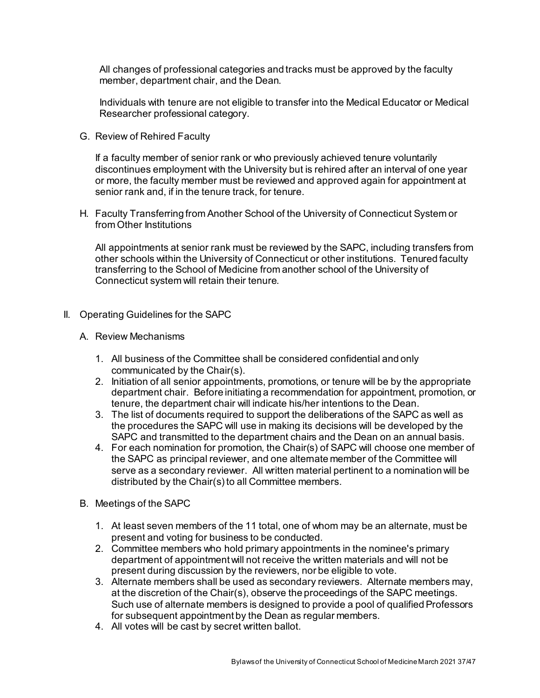All changes of professional categories and tracks must be approved by the faculty member, department chair, and the Dean.

Individuals with tenure are not eligible to transfer into the Medical Educator or Medical Researcher professional category.

G. Review of Rehired Faculty

If a faculty member of senior rank or who previously achieved tenure voluntarily discontinues employment with the University but is rehired after an interval of one year or more, the faculty member must be reviewed and approved again for appointment at senior rank and, if in the tenure track, for tenure.

H. Faculty Transferring from Another School of the University of Connecticut System or from Other Institutions

All appointments at senior rank must be reviewed by the SAPC, including transfers from other schools within the University of Connecticut or other institutions. Tenured faculty transferring to the School of Medicine from another school of the University of Connecticut system will retain their tenure.

- II. Operating Guidelines for the SAPC
	- A. Review Mechanisms
		- 1. All business of the Committee shall be considered confidential and only communicated by the Chair(s).
		- 2. Initiation of all senior appointments, promotions, or tenure will be by the appropriate department chair. Before initiating a recommendation for appointment, promotion, or tenure, the department chair will indicate his/her intentions to the Dean.
		- 3. The list of documents required to support the deliberations of the SAPC as well as the procedures the SAPC will use in making its decisions will be developed by the SAPC and transmitted to the department chairs and the Dean on an annual basis.
		- 4. For each nomination for promotion, the Chair(s) of SAPC will choose one member of the SAPC as principal reviewer, and one alternate member of the Committee will serve as a secondary reviewer. All written material pertinent to a nomination will be distributed by the Chair(s) to all Committee members.
	- B. Meetings of the SAPC
		- 1. At least seven members of the 11 total, one of whom may be an alternate, must be present and voting for business to be conducted.
		- 2. Committee members who hold primary appointments in the nominee's primary department of appointment will not receive the written materials and will not be present during discussion by the reviewers, nor be eligible to vote.
		- 3. Alternate members shall be used as secondary reviewers. Alternate members may, at the discretion of the Chair(s), observe the proceedings of the SAPC meetings. Such use of alternate members is designed to provide a pool of qualified Professors for subsequent appointment by the Dean as regular members.
		- 4. All votes will be cast by secret written ballot.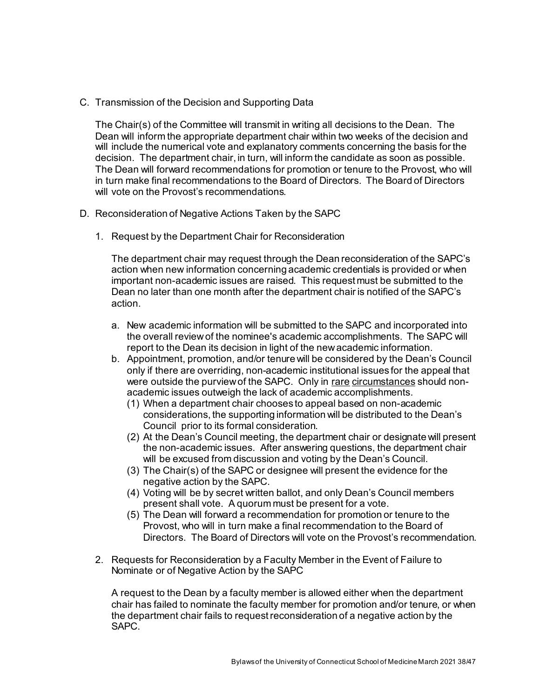C. Transmission of the Decision and Supporting Data

The Chair(s) of the Committee will transmit in writing all decisions to the Dean. The Dean will inform the appropriate department chair within two weeks of the decision and will include the numerical vote and explanatory comments concerning the basis for the decision. The department chair, in turn, will inform the candidate as soon as possible. The Dean will forward recommendations for promotion or tenure to the Provost, who will in turn make final recommendations to the Board of Directors. The Board of Directors will vote on the Provost's recommendations.

- D. Reconsideration of Negative Actions Taken by the SAPC
	- 1. Request by the Department Chair for Reconsideration

The department chair may request through the Dean reconsideration of the SAPC's action when new information concerning academic credentials is provided or when important non-academic issues are raised. This request must be submitted to the Dean no later than one month after the department chair is notified of the SAPC's action.

- a. New academic information will be submitted to the SAPC and incorporated into the overall review of the nominee's academic accomplishments. The SAPC will report to the Dean its decision in light of the new academic information.
- b. Appointment, promotion, and/or tenure will be considered by the Dean's Council only if there are overriding, non-academic institutional issues for the appeal that were outside the purview of the SAPC. Only in rare circumstances should nonacademic issues outweigh the lack of academic accomplishments.
	- (1) When a department chair chooses to appeal based on non-academic considerations, the supporting information will be distributed to the Dean's Council prior to its formal consideration.
	- (2) At the Dean's Council meeting, the department chair or designate will present the non-academic issues. After answering questions, the department chair will be excused from discussion and voting by the Dean's Council.
	- (3) The Chair(s) of the SAPC or designee will present the evidence for the negative action by the SAPC.
	- (4) Voting will be by secret written ballot, and only Dean's Council members present shall vote. A quorum must be present for a vote.
	- (5) The Dean will forward a recommendation for promotion or tenure to the Provost, who will in turn make a final recommendation to the Board of Directors. The Board of Directors will vote on the Provost's recommendation.
- 2. Requests for Reconsideration by a Faculty Member in the Event of Failure to Nominate or of Negative Action by the SAPC

A request to the Dean by a faculty member is allowed either when the department chair has failed to nominate the faculty member for promotion and/or tenure, or when the department chair fails to request reconsideration of a negative action by the SAPC.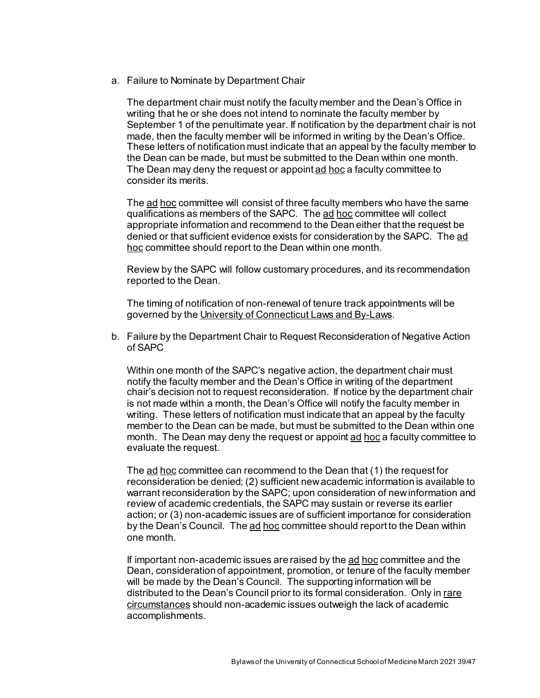a. Failure to Nominate by Department Chair

The department chair must notify the faculty member and the Dean's Office in writing that he or she does not intend to nominate the faculty member by September 1 of the penultimate year. If notification by the department chair is not made, then the faculty member will be informed in writing by the Dean's Office. These letters of notification must indicate that an appeal by the faculty member to the Dean can be made, but must be submitted to the Dean within one month. The Dean may deny the request or appoint ad hoc a faculty committee to consider its merits.

The ad hoc committee will consist of three faculty members who have the same qualifications as members of the SAPC. The ad hoc committee will collect appropriate information and recommend to the Dean either that the request be denied or that sufficient evidence exists for consideration by the SAPC. The ad hoc committee should report to the Dean within one month.

Review by the SAPC will follow customary procedures, and its recommendation reported to the Dean.

The timing of notification of non-renewal of tenure track appointments will be governed by the University of Connecticut Laws and By-Laws.

b. Failure by the Department Chair to Request Reconsideration of Negative Action of SAPC

Within one month of the SAPC's negative action, the department chair must notify the faculty member and the Dean's Office in writing of the department chair's decision not to request reconsideration. If notice by the department chair is not made within a month, the Dean's Office will notify the faculty member in writing. These letters of notification must indicate that an appeal by the faculty member to the Dean can be made, but must be submitted to the Dean within one month. The Dean may deny the request or appoint ad hoc a faculty committee to evaluate the request.

The ad hoc committee can recommend to the Dean that (1) the request for reconsideration be denied; (2) sufficient new academic information is available to warrant reconsideration by the SAPC; upon consideration of new information and review of academic credentials, the SAPC may sustain or reverse its earlier action; or (3) non-academic issues are of sufficient importance for consideration by the Dean's Council. The ad hoc committee should report to the Dean within one month.

If important non-academic issues are raised by the ad hoc committee and the Dean, consideration of appointment, promotion, or tenure of the faculty member will be made by the Dean's Council. The supporting information will be distributed to the Dean's Council prior to its formal consideration. Only in rare circumstances should non-academic issues outweigh the lack of academic accomplishments.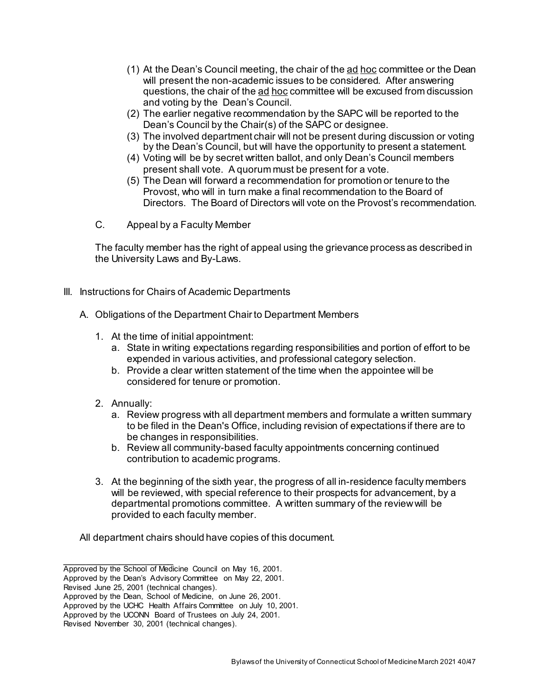- (1) At the Dean's Council meeting, the chair of the ad hoc committee or the Dean will present the non-academic issues to be considered. After answering questions, the chair of the ad hoc committee will be excused from discussion and voting by the Dean's Council.
- (2) The earlier negative recommendation by the SAPC will be reported to the Dean's Council by the Chair(s) of the SAPC or designee.
- (3) The involved department chair will not be present during discussion or voting by the Dean's Council, but will have the opportunity to present a statement.
- (4) Voting will be by secret written ballot, and only Dean's Council members present shall vote. A quorum must be present for a vote.
- (5) The Dean will forward a recommendation for promotion or tenure to the Provost, who will in turn make a final recommendation to the Board of Directors. The Board of Directors will vote on the Provost's recommendation.
- C. Appeal by a Faculty Member

The faculty member has the right of appeal using the grievance process as described in the University Laws and By-Laws.

- III. Instructions for Chairs of Academic Departments
	- A. Obligations of the Department Chair to Department Members
		- 1. At the time of initial appointment:
			- a. State in writing expectations regarding responsibilities and portion of effort to be expended in various activities, and professional category selection.
			- b. Provide a clear written statement of the time when the appointee will be considered for tenure or promotion.
		- 2. Annually:
			- a. Review progress with all department members and formulate a written summary to be filed in the Dean's Office, including revision of expectations if there are to be changes in responsibilities.
			- b. Review all community-based faculty appointments concerning continued contribution to academic programs.
		- 3. At the beginning of the sixth year, the progress of all in-residence faculty members will be reviewed, with special reference to their prospects for advancement, by a departmental promotions committee. A written summary of the review will be provided to each faculty member.

All department chairs should have copies of this document.

 $\overline{\phantom{a}}$  , where  $\overline{\phantom{a}}$ Approved by the School of Medicine Council on May 16, 2001.

Approved by the Dean's Advisory Committee on May 22, 2001.

Revised June 25, 2001 (technical changes).

Approved by the Dean, School of Medicine, on June 26, 2001.

Approved by the UCHC Health Affairs Committee on July 10, 2001.

Approved by the UCONN Board of Trustees on July 24, 2001.

Revised November 30, 2001 (technical changes).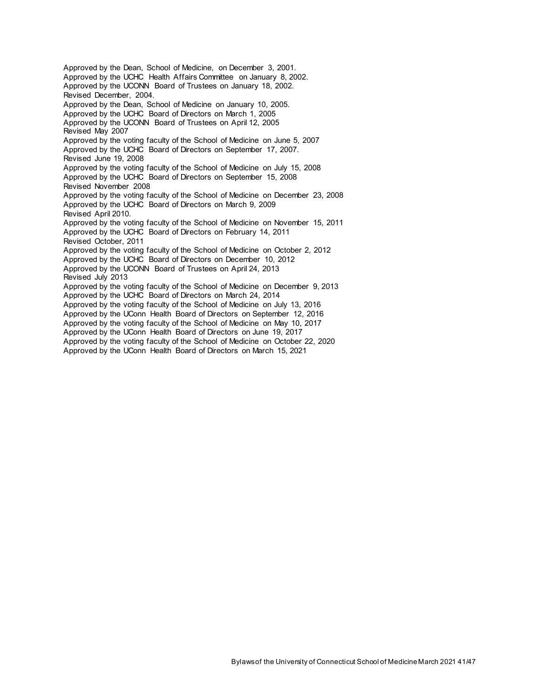Approved by the Dean, School of Medicine, on December 3, 2001. Approved by the UCHC Health Affairs Committee on January 8, 2002. Approved by the UCONN Board of Trustees on January 18, 2002. Revised December, 2004. Approved by the Dean, School of Medicine on January 10, 2005. Approved by the UCHC Board of Directors on March 1, 2005 Approved by the UCONN Board of Trustees on April 12, 2005 Revised May 2007 Approved by the voting faculty of the School of Medicine on June 5, 2007 Approved by the UCHC Board of Directors on September 17, 2007. Revised June 19, 2008 Approved by the voting faculty of the School of Medicine on July 15, 2008 Approved by the UCHC Board of Directors on September 15, 2008 Revised November 2008 Approved by the voting faculty of the School of Medicine on December 23, 2008 Approved by the UCHC Board of Directors on March 9, 2009 Revised April 2010. Approved by the voting faculty of the School of Medicine on November 15, 2011 Approved by the UCHC Board of Directors on February 14, 2011 Revised October, 2011 Approved by the voting faculty of the School of Medicine on October 2, 2012 Approved by the UCHC Board of Directors on December 10, 2012 Approved by the UCONN Board of Trustees on April 24, 2013 Revised July 2013 Approved by the voting faculty of the School of Medicine on December 9, 2013 Approved by the UCHC Board of Directors on March 24, 2014 Approved by the voting faculty of the School of Medicine on July 13, 2016 Approved by the UConn Health Board of Directors on September 12, 2016 Approved by the voting faculty of the School of Medicine on May 10, 2017 Approved by the UConn Health Board of Directors on June 19, 2017 Approved by the voting faculty of the School of Medicine on October 22, 2020 Approved by the UConn Health Board of Directors on March 15, 2021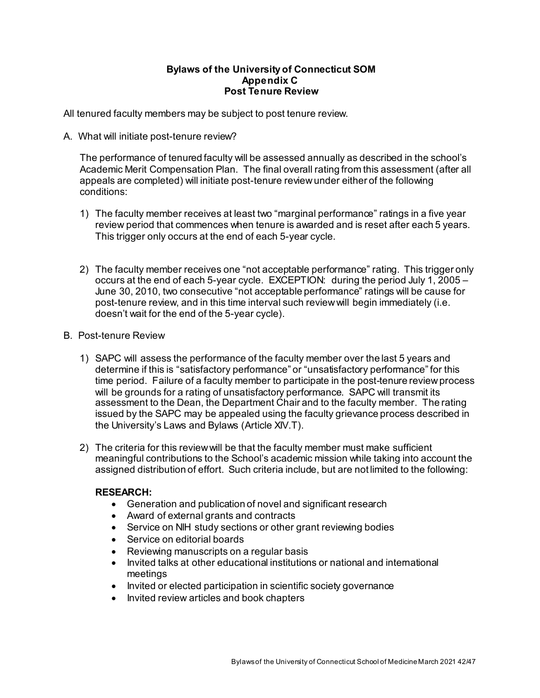#### **Bylaws of the University of Connecticut SOM Appendix C Post Tenure Review**

All tenured faculty members may be subject to post tenure review.

A. What will initiate post-tenure review?

The performance of tenured faculty will be assessed annually as described in the school's Academic Merit Compensation Plan. The final overall rating from this assessment (after all appeals are completed) will initiate post-tenure review under either of the following conditions:

- 1) The faculty member receives at least two "marginal performance" ratings in a five year review period that commences when tenure is awarded and is reset after each 5 years. This trigger only occurs at the end of each 5-year cycle.
- 2) The faculty member receives one "not acceptable performance" rating. This trigger only occurs at the end of each 5-year cycle. EXCEPTION: during the period July 1, 2005 – June 30, 2010, two consecutive "not acceptable performance" ratings will be cause for post-tenure review, and in this time interval such review will begin immediately (i.e. doesn't wait for the end of the 5-year cycle).
- B. Post-tenure Review
	- 1) SAPC will assess the performance of the faculty member over the last 5 years and determine if this is "satisfactory performance" or "unsatisfactory performance" for this time period. Failure of a faculty member to participate in the post-tenure review process will be grounds for a rating of unsatisfactory performance. SAPC will transmit its assessment to the Dean, the Department Chair and to the faculty member. The rating issued by the SAPC may be appealed using the faculty grievance process described in the University's Laws and Bylaws (Article XIV.T).
	- 2) The criteria for this review will be that the faculty member must make sufficient meaningful contributions to the School's academic mission while taking into account the assigned distribution of effort. Such criteria include, but are not limited to the following:

# **RESEARCH:**

- Generation and publication of novel and significant research
- Award of external grants and contracts
- Service on NIH study sections or other grant reviewing bodies
- Service on editorial boards
- Reviewing manuscripts on a regular basis
- Invited talks at other educational institutions or national and international meetings
- Invited or elected participation in scientific society governance
- Invited review articles and book chapters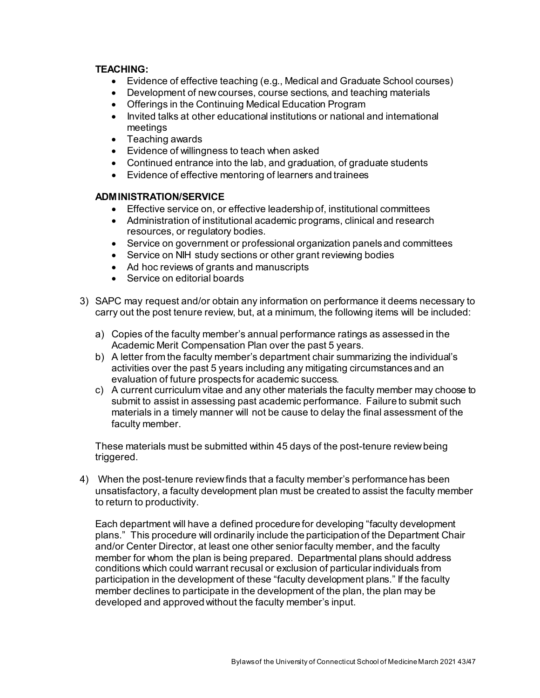## **TEACHING:**

- Evidence of effective teaching (e.g., Medical and Graduate School courses)
- Development of new courses, course sections, and teaching materials
- Offerings in the Continuing Medical Education Program
- Invited talks at other educational institutions or national and international meetings
- Teaching awards
- Evidence of willingness to teach when asked
- Continued entrance into the lab, and graduation, of graduate students
- Evidence of effective mentoring of learners and trainees

### **ADMINISTRATION/SERVICE**

- Effective service on, or effective leadership of, institutional committees
- Administration of institutional academic programs, clinical and research resources, or regulatory bodies.
- Service on government or professional organization panels and committees
- Service on NIH study sections or other grant reviewing bodies
- Ad hoc reviews of grants and manuscripts
- Service on editorial boards
- 3) SAPC may request and/or obtain any information on performance it deems necessary to carry out the post tenure review, but, at a minimum, the following items will be included:
	- a) Copies of the faculty member's annual performance ratings as assessed in the Academic Merit Compensation Plan over the past 5 years.
	- b) A letter from the faculty member's department chair summarizing the individual's activities over the past 5 years including any mitigating circumstances and an evaluation of future prospects for academic success.
	- c) A current curriculum vitae and any other materials the faculty member may choose to submit to assist in assessing past academic performance. Failure to submit such materials in a timely manner will not be cause to delay the final assessment of the faculty member.

These materials must be submitted within 45 days of the post-tenure review being triggered.

4) When the post-tenure review finds that a faculty member's performance has been unsatisfactory, a faculty development plan must be created to assist the faculty member to return to productivity.

Each department will have a defined procedure for developing "faculty development plans." This procedure will ordinarily include the participation of the Department Chair and/or Center Director, at least one other senior faculty member, and the faculty member for whom the plan is being prepared. Departmental plans should address conditions which could warrant recusal or exclusion of particular individuals from participation in the development of these "faculty development plans." If the faculty member declines to participate in the development of the plan, the plan may be developed and approved without the faculty member's input.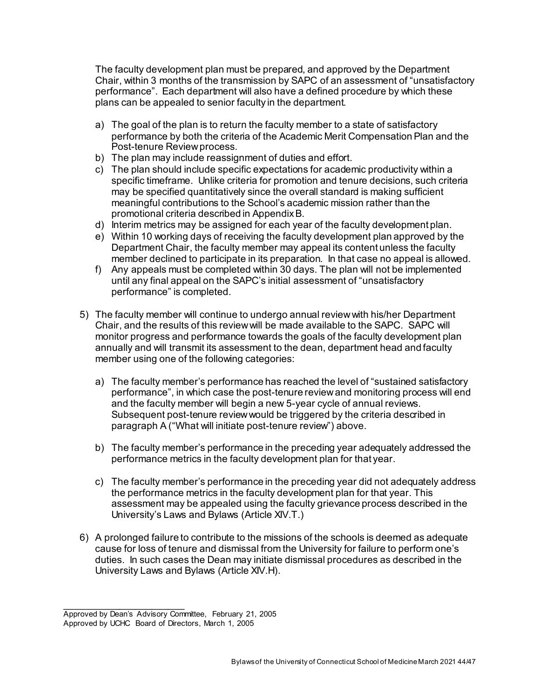The faculty development plan must be prepared, and approved by the Department Chair, within 3 months of the transmission by SAPC of an assessment of "unsatisfactory performance". Each department will also have a defined procedure by which these plans can be appealed to senior faculty in the department.

- a) The goal of the plan is to return the faculty member to a state of satisfactory performance by both the criteria of the Academic Merit Compensation Plan and the Post-tenure Review process.
- b) The plan may include reassignment of duties and effort.
- c) The plan should include specific expectations for academic productivity within a specific timeframe. Unlike criteria for promotion and tenure decisions, such criteria may be specified quantitatively since the overall standard is making sufficient meaningful contributions to the School's academic mission rather than the promotional criteria described in Appendix B.
- d) Interim metrics may be assigned for each year of the faculty development plan.
- e) Within 10 working days of receiving the faculty development plan approved by the Department Chair, the faculty member may appeal its content unless the faculty member declined to participate in its preparation. In that case no appeal is allowed.
- f) Any appeals must be completed within 30 days. The plan will not be implemented until any final appeal on the SAPC's initial assessment of "unsatisfactory performance" is completed.
- 5) The faculty member will continue to undergo annual review with his/her Department Chair, and the results of this review will be made available to the SAPC. SAPC will monitor progress and performance towards the goals of the faculty development plan annually and will transmit its assessment to the dean, department head and faculty member using one of the following categories:
	- a) The faculty member's performance has reached the level of "sustained satisfactory performance", in which case the post-tenure review and monitoring process will end and the faculty member will begin a new 5-year cycle of annual reviews. Subsequent post-tenure review would be triggered by the criteria described in paragraph A ("What will initiate post-tenure review") above.
	- b) The faculty member's performance in the preceding year adequately addressed the performance metrics in the faculty development plan for that year.
	- c) The faculty member's performance in the preceding year did not adequately address the performance metrics in the faculty development plan for that year. This assessment may be appealed using the faculty grievance process described in the University's Laws and Bylaws (Article XIV.T.)
- 6) A prolonged failure to contribute to the missions of the schools is deemed as adequate cause for loss of tenure and dismissal from the University for failure to perform one's duties. In such cases the Dean may initiate dismissal procedures as described in the University Laws and Bylaws (Article XIV.H).

\_\_\_\_\_\_\_\_\_\_\_\_\_\_\_\_\_\_\_\_\_\_ Approved by Dean's Advisory Committee, February 21, 2005

Approved by UCHC Board of Directors, March 1, 2005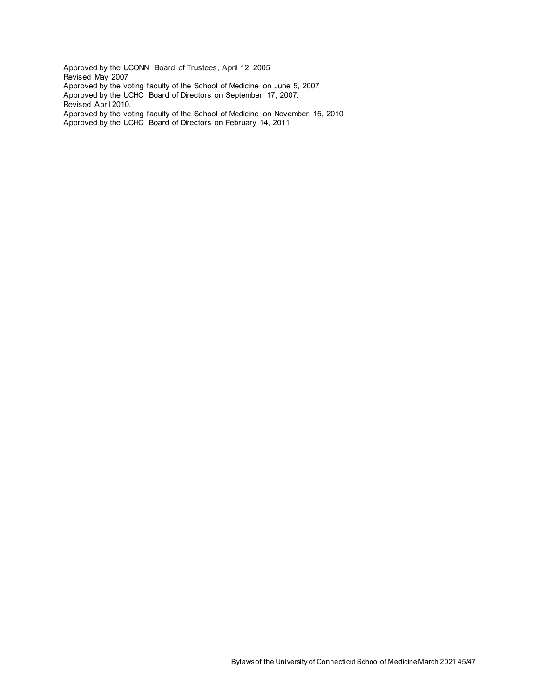Approved by the UCONN Board of Trustees, April 12, 2005 Revised May 2007 Approved by the voting faculty of the School of Medicine on June 5, 2007 Approved by the UCHC Board of Directors on September 17, 2007. Revised April 2010. Approved by the voting faculty of the School of Medicine on November 15, 2010 Approved by the UCHC Board of Directors on February 14, 2011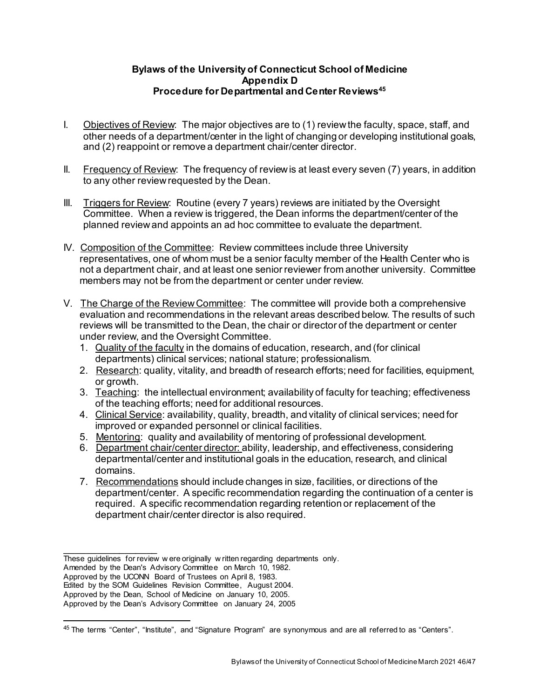# **Bylaws of the University of Connecticut School of Medicine Appendix D Procedure for Departmental and Center Reviews[45](#page-45-0)**

- I. Objectives of Review: The major objectives are to (1) review the faculty, space, staff, and other needs of a department/center in the light of changing or developing institutional goals, and (2) reappoint or remove a department chair/center director.
- II. Frequency of Review: The frequency of review is at least every seven (7) years, in addition to any other review requested by the Dean.
- III. Triggers for Review: Routine (every 7 years) reviews are initiated by the Oversight Committee. When a review is triggered, the Dean informs the department/center of the planned review and appoints an ad hoc committee to evaluate the department.
- IV. Composition of the Committee: Review committees include three University representatives, one of whom must be a senior faculty member of the Health Center who is not a department chair, and at least one senior reviewer from another university. Committee members may not be from the department or center under review.
- V. The Charge of the Review Committee: The committee will provide both a comprehensive evaluation and recommendations in the relevant areas described below. The results of such reviews will be transmitted to the Dean, the chair or director of the department or center under review, and the Oversight Committee.
	- 1. Quality of the faculty in the domains of education, research, and (for clinical departments) clinical services; national stature; professionalism.
	- 2. Research: quality, vitality, and breadth of research efforts; need for facilities, equipment, or growth.
	- 3. Teaching: the intellectual environment; availability of faculty for teaching; effectiveness of the teaching efforts; need for additional resources.
	- 4. Clinical Service: availability, quality, breadth, and vitality of clinical services; need for improved or expanded personnel or clinical facilities.
	- 5. Mentoring: quality and availability of mentoring of professional development.
	- 6. Department chair/center director: ability, leadership, and effectiveness, considering departmental/center and institutional goals in the education, research, and clinical domains.
	- 7. Recommendations should include changes in size, facilities, or directions of the department/center. A specific recommendation regarding the continuation of a center is required. A specific recommendation regarding retention or replacement of the department chair/center director is also required.

Amended by the Dean's Advisory Committee on March 10, 1982.

\_\_\_\_\_\_\_\_\_\_\_\_\_\_\_\_\_ These guidelines for review w ere originally w ritten regarding departments only.

Approved by the UCONN Board of Trustees on April 8, 1983.

Edited by the SOM Guidelines Revision Committee, August 2004.

Approved by the Dean, School of Medicine on January 10, 2005.

Approved by the Dean's Advisory Committee on January 24, 2005

<span id="page-45-0"></span> <sup>45</sup> The terms "Center", "Institute", and "Signature Program" are synonymous and are all referred to as "Centers".